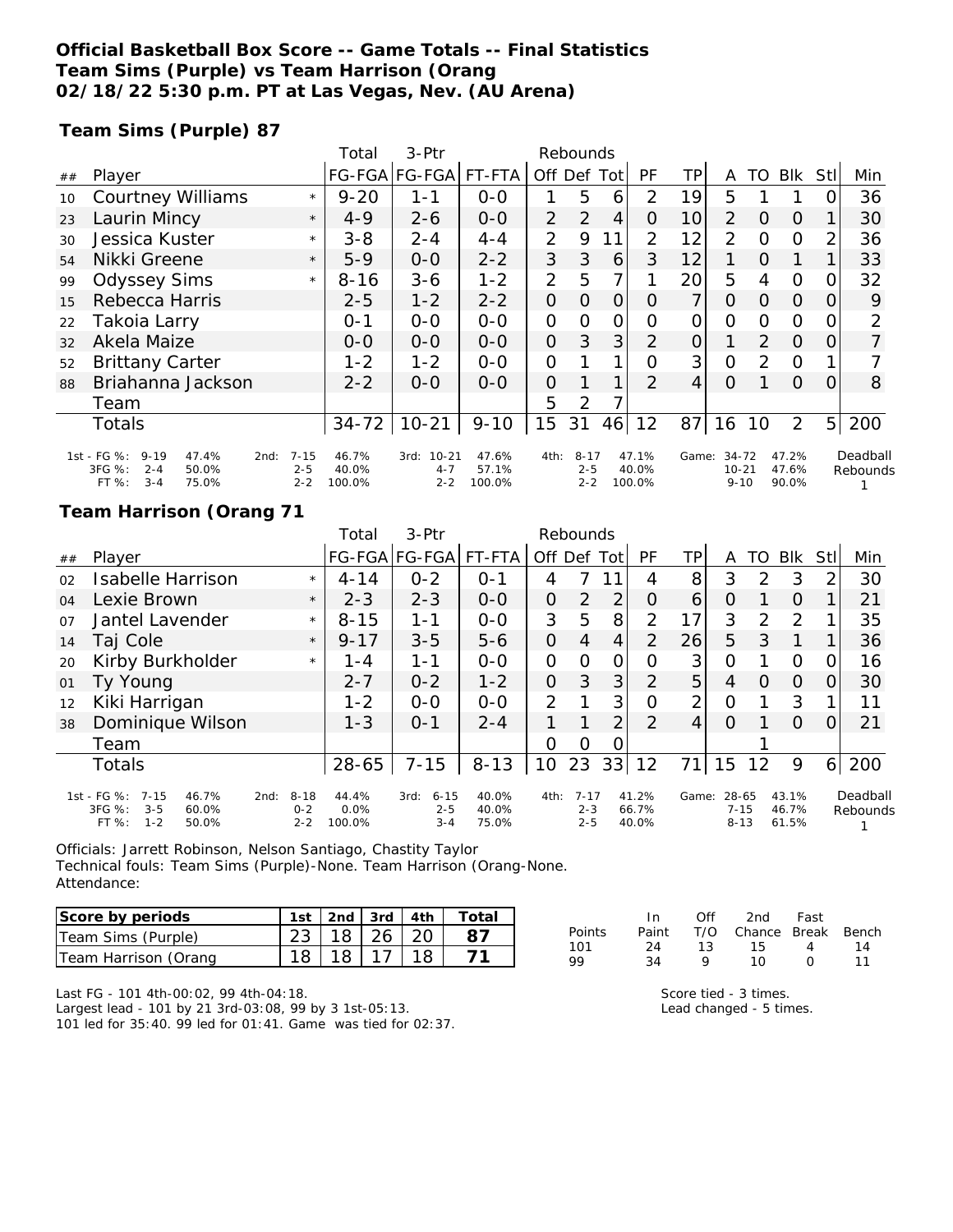### **Official Basketball Box Score -- Game Totals -- Final Statistics Team Sims (Purple) vs Team Harrison (Orang 02/18/22 5:30 p.m. PT at Las Vegas, Nev. (AU Arena)**

**Team Sims (Purple) 87**

|    |                                                                                                     |                                | Total                    | 3-Ptr                               |                          |                |                                |                |                          |                |                                      |          |                         |      |                      |
|----|-----------------------------------------------------------------------------------------------------|--------------------------------|--------------------------|-------------------------------------|--------------------------|----------------|--------------------------------|----------------|--------------------------|----------------|--------------------------------------|----------|-------------------------|------|----------------------|
| ## | Player                                                                                              |                                |                          | FG-FGA FG-FGA                       | FT-FTA                   | Off            | Def                            | Tot            | PF                       | TР             | A                                    | TO       | Blk                     | Stll | Min                  |
| 10 | <b>Courtney Williams</b>                                                                            | $\star$                        | $9 - 20$                 | 1-1                                 | $0 - 0$                  |                | 5                              | 6              | 2                        | 19             | 5                                    |          |                         |      | 36                   |
| 23 | Laurin Mincy                                                                                        | $\star$                        | $4 - 9$                  | $2 - 6$                             | $0 - 0$                  | 2              | 2                              | 4              | 0                        | 10             | 2                                    | $\Omega$ | $\Omega$                |      | 30                   |
| 30 | Jessica Kuster                                                                                      | $\star$                        | $3 - 8$                  | $2 - 4$                             | $4 - 4$                  | 2              | 9                              | 11             | 2                        | 12             | 2                                    | $\Omega$ | $\Omega$                |      | 36                   |
| 54 | Nikki Greene                                                                                        | $\star$                        | $5-9$                    | $O-O$                               | $2 - 2$                  | 3              | 3                              | 6              | 3                        | 12             | 1                                    | $\Omega$ | 1                       |      | 33                   |
| 99 | <b>Odyssey Sims</b>                                                                                 | $\star$                        | $8 - 16$                 | $3 - 6$                             | $1 - 2$                  | $\overline{2}$ | 5                              | 7 <sub>1</sub> |                          | 20             | 5                                    | 4        | $\Omega$                |      | 32                   |
| 15 | Rebecca Harris                                                                                      |                                | $2 - 5$                  | $1 - 2$                             | $2 - 2$                  | $\overline{O}$ | $\Omega$                       | O              | 0                        | 7 <sub>1</sub> | $\Omega$                             | $\Omega$ | $\Omega$                | 0    | 9                    |
| 22 | Takoia Larry                                                                                        |                                | $0 - 1$                  | $0 - 0$                             | $0 - 0$                  | O              | O                              | Ο              | Ω                        | 0              | 0                                    | 0        | $\Omega$                |      | 2                    |
| 32 | Akela Maize                                                                                         |                                | $O - O$                  | $0 - 0$                             | $0 - 0$                  | 0              | 3                              | 3              | 2                        | $\overline{O}$ | 1                                    | 2        | $\Omega$                | O    | 7                    |
| 52 | <b>Brittany Carter</b>                                                                              |                                | $1 - 2$                  | $1 - 2$                             | $0 - 0$                  | 0              |                                | 1              | $\Omega$                 | 3              | 0                                    | 2        | $\Omega$                |      |                      |
| 88 | Briahanna Jackson                                                                                   |                                | $2 - 2$                  | $0 - 0$                             | $0 - 0$                  | 0              |                                | $\mathbf 1$    | $\mathcal{P}$            | 4              | $\Omega$                             |          | $\Omega$                | 0    | 8                    |
|    | Team                                                                                                |                                |                          |                                     |                          | 5              | 2                              |                |                          |                |                                      |          |                         |      |                      |
|    | <b>Totals</b>                                                                                       |                                | $34 - 72$                | $10 - 21$                           | $9 - 10$                 | 15             | 31                             | 46             | 12                       | 87             | 16                                   | 10       | 2                       | 5    | 200                  |
|    | 1st - FG %:<br>$9 - 19$<br>47.4%<br>2nd:<br>3FG %:<br>$2 - 4$<br>50.0%<br>$3 - 4$<br>FT %:<br>75.0% | $7 - 15$<br>$2 - 5$<br>$2 - 2$ | 46.7%<br>40.0%<br>100.0% | 10-21<br>3rd:<br>$4 - 7$<br>$2 - 2$ | 47.6%<br>57.1%<br>100.0% | 4th:           | $8 - 17$<br>$2 - 5$<br>$2 - 2$ |                | 47.1%<br>40.0%<br>100.0% |                | Game: 34-72<br>$10 - 21$<br>$9 - 10$ |          | 47.2%<br>47.6%<br>90.0% |      | Deadball<br>Rebounds |

#### **Team Harrison (Orang 71**

|    |                                                                                             |      |                                | Total                   | 3-Ptr                                  | Rebounds                |                |                                |                |                         |       |                               |          |                         |      |                      |
|----|---------------------------------------------------------------------------------------------|------|--------------------------------|-------------------------|----------------------------------------|-------------------------|----------------|--------------------------------|----------------|-------------------------|-------|-------------------------------|----------|-------------------------|------|----------------------|
| ## | Player                                                                                      |      |                                |                         | FG-FGA FG-FGA                          | FT-FTA                  | Off Def        |                                | Totl           | PF                      | TP    | Α                             | TO       | <b>BIK</b>              | Stll | Min                  |
| 02 | Isabelle Harrison                                                                           |      | $\star$                        | $4 - 14$                | $0 - 2$                                | $0 - 1$                 | 4              |                                | 11             | 4                       | 8     | 3                             | 2        | 3                       | 2    | 30                   |
| 04 | Lexie Brown                                                                                 |      | $\star$                        | $2 - 3$                 | $2 - 3$                                | $0 - 0$                 | $\overline{O}$ | $\overline{2}$                 | 2              | 0                       | 6     | 0                             |          | $\Omega$                |      | 21                   |
| 07 | Jantel Lavender                                                                             |      | $\star$                        | $8 - 15$                | 1-1                                    | $0-0$                   | 3              | 5                              | 8              | $\overline{2}$          | 17    | 3                             | 2        | 2                       |      | 35                   |
| 14 | Taj Cole                                                                                    |      | $\star$                        | $9 - 17$                | $3 - 5$                                | $5 - 6$                 | $\Omega$       | 4                              | $\overline{4}$ | $\overline{2}$          | 26    | 5                             | 3        |                         |      | 36                   |
| 20 | Kirby Burkholder                                                                            |      | $\star$                        | 1 - 4                   | 1-1                                    | $0 - 0$                 | 0              | Ω                              | 0              | $\Omega$                | 3     | 0                             |          | 0                       |      | 16                   |
| 01 | Ty Young                                                                                    |      |                                | $2 - 7$                 | $0 - 2$                                | $1 - 2$                 | $\overline{O}$ | 3                              | 3              | 2                       | 5     | 4                             | $\Omega$ | $\Omega$                | 0    | 30                   |
| 12 | Kiki Harrigan                                                                               |      |                                | $1 - 2$                 | $0-0$                                  | $O - O$                 | 2              |                                | 3              | O                       | 2     | $\overline{O}$                |          | 3                       |      | 11                   |
| 38 | Dominique Wilson                                                                            |      |                                | $1 - 3$                 | $0 - 1$                                | $2 - 4$                 |                |                                | $\overline{2}$ | 2                       | 4     | $\Omega$                      |          | $\Omega$                | 0    | 21                   |
|    | Team                                                                                        |      |                                |                         |                                        |                         | O              | 0                              | 0              |                         |       |                               |          |                         |      |                      |
|    | <b>Totals</b>                                                                               |      |                                | 28-65                   | $7 - 15$                               | $8 - 13$                | 10             | 23                             | 33             | 12                      | 71 I  | 15                            | 12       | 9                       | 6    | 200                  |
|    | 1st - FG %:<br>$7 - 15$<br>46.7%<br>3FG %:<br>$3 - 5$<br>60.0%<br>FT %:<br>$1 - 2$<br>50.0% | 2nd: | $8 - 18$<br>$0 - 2$<br>$2 - 2$ | 44.4%<br>0.0%<br>100.0% | $6 - 15$<br>3rd:<br>$2 - 5$<br>$3 - 4$ | 40.0%<br>40.0%<br>75.0% | 4th:           | $7 - 17$<br>$2 - 3$<br>$2 - 5$ |                | 41.2%<br>66.7%<br>40.0% | Game: | 28-65<br>$7 - 15$<br>$8 - 13$ |          | 43.1%<br>46.7%<br>61.5% |      | Deadball<br>Rebounds |

Officials: Jarrett Robinson, Nelson Santiago, Chastity Taylor Technical fouls: Team Sims (Purple)-None. Team Harrison (Orang-None. Attendance:

| Score by periods     | 1st   2nd   3rd   4th        |  | Total |
|----------------------|------------------------------|--|-------|
| Team Sims (Purple)   | $23 \mid 18 \mid 26 \mid 20$ |  |       |
| Team Harrison (Orang | 18 <sub>1</sub>              |  |       |

|        | In In | ∩ff | 2nd                    | Fast   |    |
|--------|-------|-----|------------------------|--------|----|
| Points | Paint |     | T/O Chance Break Bench |        |    |
| 101    | 24    | 13. | - 15                   | Δ      | 14 |
| 99     | 34    | Q   | 10                     | $\cap$ | 11 |

Last FG - 101 4th-00:02, 99 4th-04:18. Largest lead - 101 by 21 3rd-03:08, 99 by 3 1st-05:13. 101 led for 35:40. 99 led for 01:41. Game was tied for 02:37. Score tied - 3 times. Lead changed - 5 times.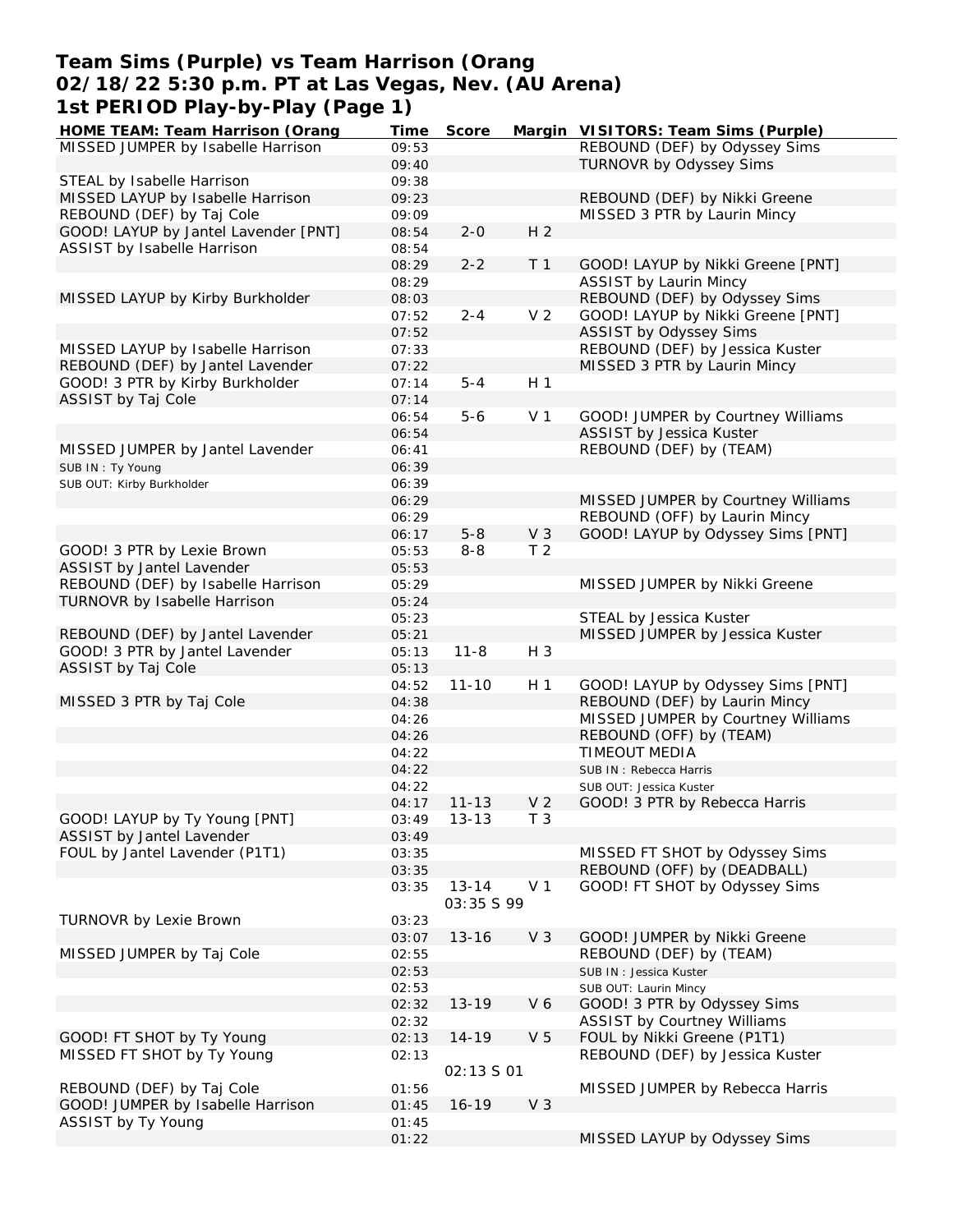# **Team Sims (Purple) vs Team Harrison (Orang 02/18/22 5:30 p.m. PT at Las Vegas, Nev. (AU Arena) 1st PERIOD Play-by-Play (Page 1)**

| <b>HOME TEAM: Team Harrison (Orang</b> | Time  | Score      |                | Margin VISITORS: Team Sims (Purple) |
|----------------------------------------|-------|------------|----------------|-------------------------------------|
| MISSED JUMPER by Isabelle Harrison     | 09:53 |            |                | REBOUND (DEF) by Odyssey Sims       |
|                                        | 09:40 |            |                | TURNOVR by Odyssey Sims             |
| STEAL by Isabelle Harrison             | 09:38 |            |                |                                     |
| MISSED LAYUP by Isabelle Harrison      | 09:23 |            |                | REBOUND (DEF) by Nikki Greene       |
| REBOUND (DEF) by Taj Cole              | 09:09 |            |                | MISSED 3 PTR by Laurin Mincy        |
| GOOD! LAYUP by Jantel Lavender [PNT]   | 08:54 | $2 - 0$    | H <sub>2</sub> |                                     |
| ASSIST by Isabelle Harrison            | 08:54 |            |                |                                     |
|                                        | 08:29 | $2 - 2$    | T <sub>1</sub> | GOOD! LAYUP by Nikki Greene [PNT]   |
|                                        | 08:29 |            |                | <b>ASSIST by Laurin Mincy</b>       |
| MISSED LAYUP by Kirby Burkholder       |       |            |                | REBOUND (DEF) by Odyssey Sims       |
|                                        | 08:03 |            | V <sub>2</sub> |                                     |
|                                        | 07:52 | $2 - 4$    |                | GOOD! LAYUP by Nikki Greene [PNT]   |
|                                        | 07:52 |            |                | ASSIST by Odyssey Sims              |
| MISSED LAYUP by Isabelle Harrison      | 07:33 |            |                | REBOUND (DEF) by Jessica Kuster     |
| REBOUND (DEF) by Jantel Lavender       | 07:22 |            |                | MISSED 3 PTR by Laurin Mincy        |
| GOOD! 3 PTR by Kirby Burkholder        | 07:14 | $5 - 4$    | H <sub>1</sub> |                                     |
| ASSIST by Taj Cole                     | 07:14 |            |                |                                     |
|                                        | 06:54 | $5-6$      | V <sub>1</sub> | GOOD! JUMPER by Courtney Williams   |
|                                        | 06:54 |            |                | ASSIST by Jessica Kuster            |
| MISSED JUMPER by Jantel Lavender       | 06:41 |            |                | REBOUND (DEF) by (TEAM)             |
| SUB IN: Ty Young                       | 06:39 |            |                |                                     |
| SUB OUT: Kirby Burkholder              | 06:39 |            |                |                                     |
|                                        | 06:29 |            |                | MISSED JUMPER by Courtney Williams  |
|                                        | 06:29 |            |                | REBOUND (OFF) by Laurin Mincy       |
|                                        | 06:17 | $5 - 8$    | V <sub>3</sub> | GOOD! LAYUP by Odyssey Sims [PNT]   |
| GOOD! 3 PTR by Lexie Brown             | 05:53 | $8 - 8$    | T <sub>2</sub> |                                     |
| ASSIST by Jantel Lavender              | 05:53 |            |                |                                     |
| REBOUND (DEF) by Isabelle Harrison     | 05:29 |            |                | MISSED JUMPER by Nikki Greene       |
| TURNOVR by Isabelle Harrison           | 05:24 |            |                |                                     |
|                                        | 05:23 |            |                | STEAL by Jessica Kuster             |
| REBOUND (DEF) by Jantel Lavender       | 05:21 |            |                | MISSED JUMPER by Jessica Kuster     |
| GOOD! 3 PTR by Jantel Lavender         | 05:13 | $11 - 8$   | H 3            |                                     |
| ASSIST by Taj Cole                     | 05:13 |            |                |                                     |
|                                        | 04:52 | $11 - 10$  | H <sub>1</sub> | GOOD! LAYUP by Odyssey Sims [PNT]   |
|                                        |       |            |                |                                     |
| MISSED 3 PTR by Taj Cole               | 04:38 |            |                | REBOUND (DEF) by Laurin Mincy       |
|                                        | 04:26 |            |                | MISSED JUMPER by Courtney Williams  |
|                                        | 04:26 |            |                | REBOUND (OFF) by (TEAM)             |
|                                        | 04:22 |            |                | TIMEOUT MEDIA                       |
|                                        | 04:22 |            |                | SUB IN: Rebecca Harris              |
|                                        | 04:22 |            |                | SUB OUT: Jessica Kuster             |
|                                        | 04:17 | $11 - 13$  | V <sub>2</sub> | GOOD! 3 PTR by Rebecca Harris       |
| GOOD! LAYUP by Ty Young [PNT]          | 03:49 | $13 - 13$  | T 3            |                                     |
| ASSIST by Jantel Lavender              | 03:49 |            |                |                                     |
| FOUL by Jantel Lavender (P1T1)         | 03:35 |            |                | MISSED FT SHOT by Odyssey Sims      |
|                                        | 03:35 |            |                | REBOUND (OFF) by (DEADBALL)         |
|                                        | 03:35 | $13 - 14$  | V <sub>1</sub> | GOOD! FT SHOT by Odyssey Sims       |
|                                        |       | 03:35 \$99 |                |                                     |
| TURNOVR by Lexie Brown                 | 03:23 |            |                |                                     |
|                                        | 03:07 | $13 - 16$  | V <sub>3</sub> | GOOD! JUMPER by Nikki Greene        |
| MISSED JUMPER by Taj Cole              | 02:55 |            |                | REBOUND (DEF) by (TEAM)             |
|                                        | 02:53 |            |                | SUB IN: Jessica Kuster              |
|                                        | 02:53 |            |                | SUB OUT: Laurin Mincy               |
|                                        | 02:32 | $13 - 19$  | V6             | GOOD! 3 PTR by Odyssey Sims         |
|                                        | 02:32 |            |                | ASSIST by Courtney Williams         |
| GOOD! FT SHOT by Ty Young              | 02:13 | $14 - 19$  | V <sub>5</sub> | FOUL by Nikki Greene (P1T1)         |
| MISSED FT SHOT by Ty Young             | 02:13 |            |                | REBOUND (DEF) by Jessica Kuster     |
|                                        |       |            |                |                                     |
|                                        |       | 02:13 S 01 |                |                                     |
| REBOUND (DEF) by Taj Cole              | 01:56 |            |                | MISSED JUMPER by Rebecca Harris     |
| GOOD! JUMPER by Isabelle Harrison      | 01:45 | $16 - 19$  | V <sub>3</sub> |                                     |
| ASSIST by Ty Young                     | 01:45 |            |                |                                     |
|                                        | 01:22 |            |                | MISSED LAYUP by Odyssey Sims        |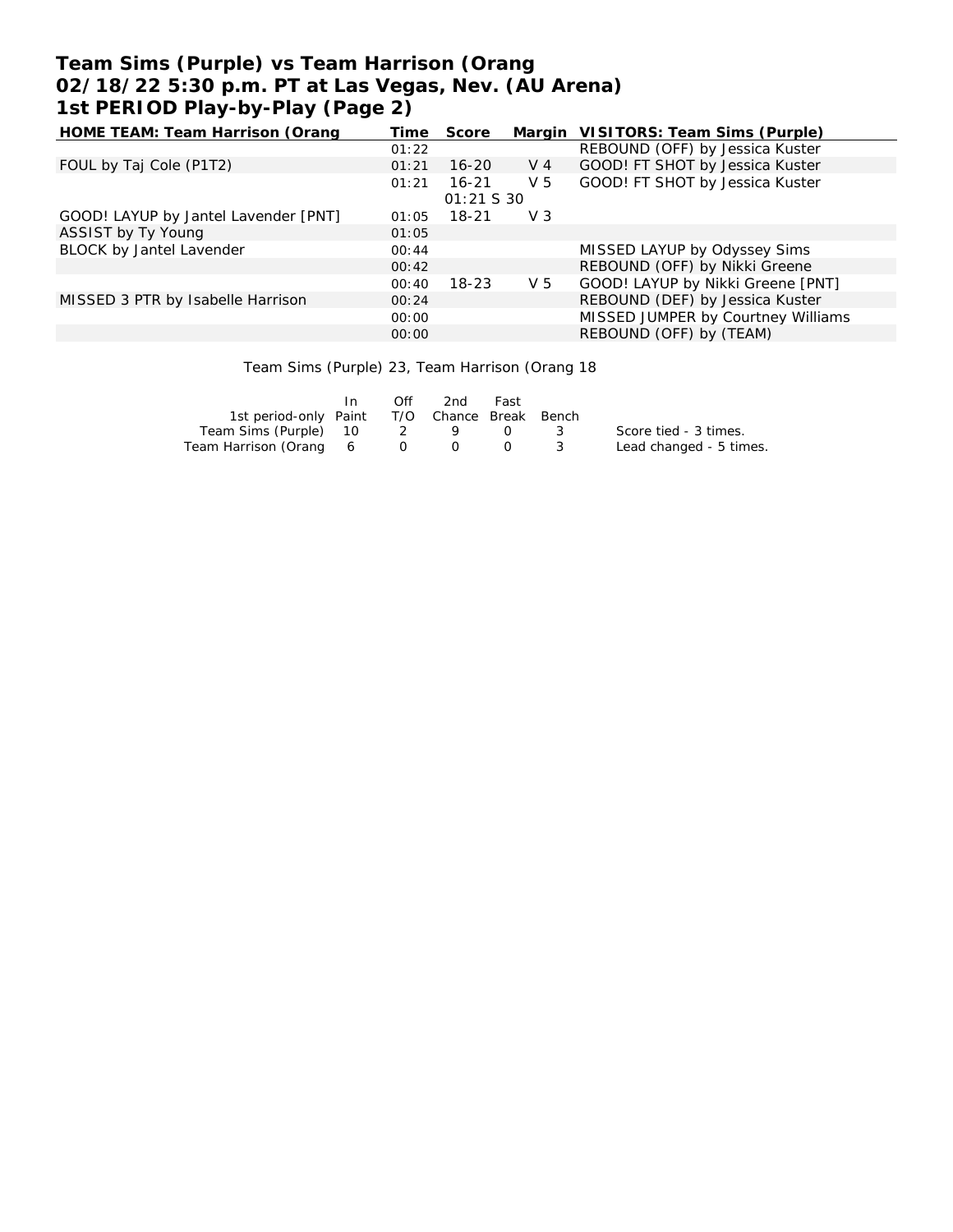# **Team Sims (Purple) vs Team Harrison (Orang 02/18/22 5:30 p.m. PT at Las Vegas, Nev. (AU Arena) 1st PERIOD Play-by-Play (Page 2)**

| Time  | Score     |                | Margin VISITORS: Team Sims (Purple) |
|-------|-----------|----------------|-------------------------------------|
| 01:22 |           |                | REBOUND (OFF) by Jessica Kuster     |
| 01:21 | 16-20     | $V_4$          | GOOD! FT SHOT by Jessica Kuster     |
| 01:21 | 16-21     | V <sub>5</sub> | GOOD! FT SHOT by Jessica Kuster     |
|       |           |                |                                     |
| 01:05 | 18-21     | $V_3$          |                                     |
| 01:05 |           |                |                                     |
| 00:44 |           |                | MISSED LAYUP by Odyssey Sims        |
| 00:42 |           |                | REBOUND (OFF) by Nikki Greene       |
| 00:40 | $18 - 23$ | V <sub>5</sub> | GOOD! LAYUP by Nikki Greene [PNT]   |
| 00:24 |           |                | REBOUND (DEF) by Jessica Kuster     |
| 00:00 |           |                | MISSED JUMPER by Courtney Williams  |
| 00:00 |           |                | REBOUND (OFF) by (TEAM)             |
|       |           |                | <i>01:21 S 30</i>                   |

Team Sims (Purple) 23, Team Harrison (Orang 18

|                                              | In In | Off      | 2nd          | Fast |     |                         |
|----------------------------------------------|-------|----------|--------------|------|-----|-------------------------|
| 1st period-only Paint T/O Chance Break Bench |       |          |              |      |     |                         |
| Team Sims (Purple) 10 2                      |       |          | 9 ()         |      | - 3 | Score tied - 3 times.   |
| Team Harrison (Orang 6                       |       | $\sim$ 0 | <sup>O</sup> |      |     | Lead changed - 5 times. |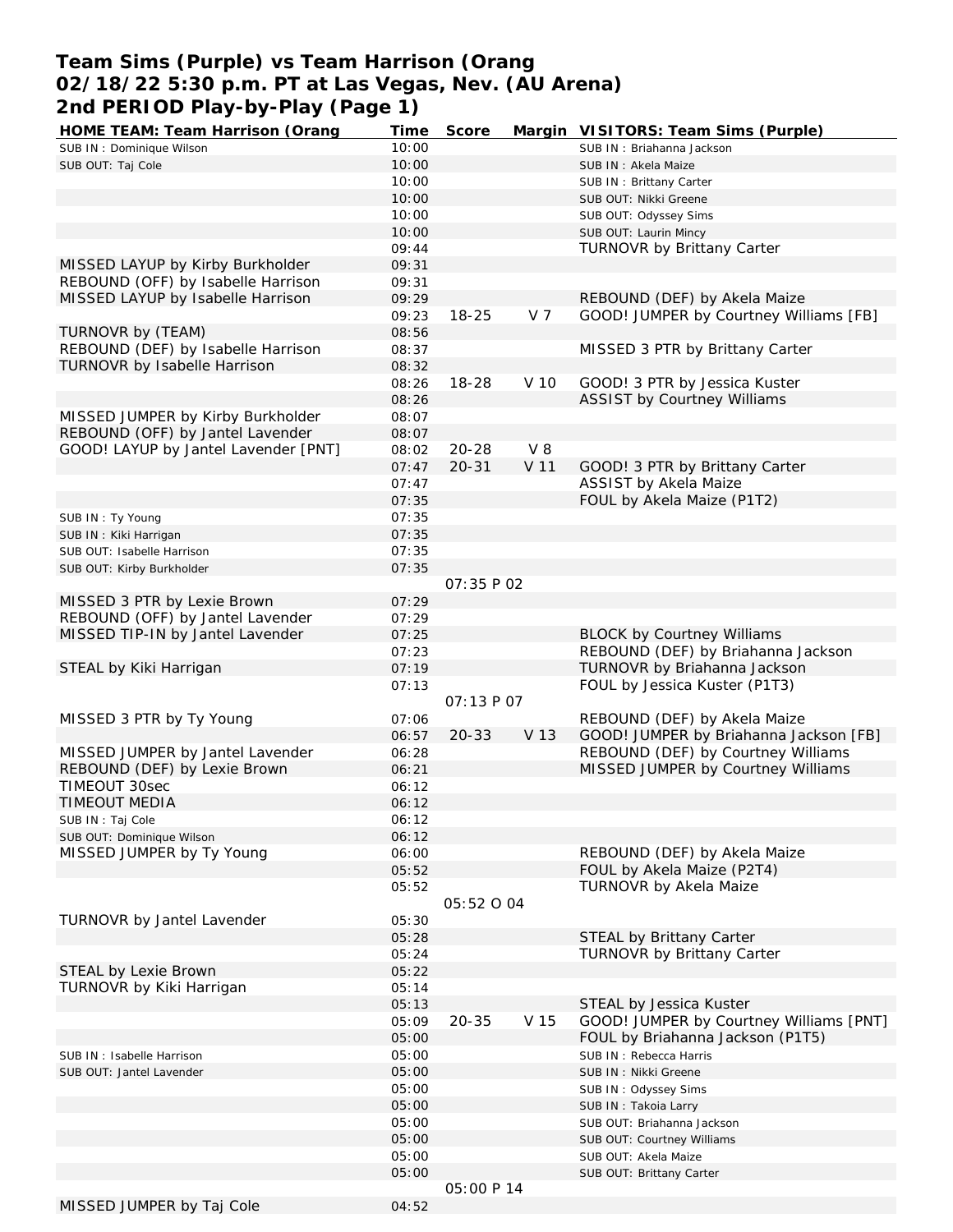# **Team Sims (Purple) vs Team Harrison (Orang 02/18/22 5:30 p.m. PT at Las Vegas, Nev. (AU Arena) 2nd PERIOD Play-by-Play (Page 1)**

| HOME TEAM: Team Harrison (Orang      | Time  | Score             |       | Margin VISITORS: Team Sims (Purple)     |
|--------------------------------------|-------|-------------------|-------|-----------------------------------------|
| SUB IN: Dominique Wilson             | 10:00 |                   |       | SUB IN: Briahanna Jackson               |
| SUB OUT: Taj Cole                    | 10:00 |                   |       | SUB IN: Akela Maize                     |
|                                      | 10:00 |                   |       | SUB IN: Brittany Carter                 |
|                                      | 10:00 |                   |       | SUB OUT: Nikki Greene                   |
|                                      | 10:00 |                   |       | SUB OUT: Odyssey Sims                   |
|                                      | 10:00 |                   |       | SUB OUT: Laurin Mincy                   |
|                                      | 09:44 |                   |       | TURNOVR by Brittany Carter              |
| MISSED LAYUP by Kirby Burkholder     | 09:31 |                   |       |                                         |
| REBOUND (OFF) by Isabelle Harrison   | 09:31 |                   |       |                                         |
| MISSED LAYUP by Isabelle Harrison    | 09:29 |                   |       | REBOUND (DEF) by Akela Maize            |
|                                      |       |                   |       |                                         |
|                                      | 09:23 | $18 - 25$         | V 7   | GOOD! JUMPER by Courtney Williams [FB]  |
| TURNOVR by (TEAM)                    | 08:56 |                   |       |                                         |
| REBOUND (DEF) by Isabelle Harrison   | 08:37 |                   |       | MISSED 3 PTR by Brittany Carter         |
| TURNOVR by Isabelle Harrison         | 08:32 |                   |       |                                         |
|                                      | 08:26 | $18 - 28$         | V 10  | GOOD! 3 PTR by Jessica Kuster           |
|                                      | 08:26 |                   |       | <b>ASSIST by Courtney Williams</b>      |
| MISSED JUMPER by Kirby Burkholder    | 08:07 |                   |       |                                         |
| REBOUND (OFF) by Jantel Lavender     | 08:07 |                   |       |                                         |
| GOOD! LAYUP by Jantel Lavender [PNT] | 08:02 | $20 - 28$         | $V_8$ |                                         |
|                                      | 07:47 | $20 - 31$         | V 11  | GOOD! 3 PTR by Brittany Carter          |
|                                      | 07:47 |                   |       | <b>ASSIST by Akela Maize</b>            |
|                                      | 07:35 |                   |       | FOUL by Akela Maize (P1T2)              |
| SUB IN: Ty Young                     | 07:35 |                   |       |                                         |
| SUB IN: Kiki Harrigan                | 07:35 |                   |       |                                         |
| SUB OUT: Isabelle Harrison           | 07:35 |                   |       |                                         |
|                                      |       |                   |       |                                         |
| SUB OUT: Kirby Burkholder            | 07:35 |                   |       |                                         |
|                                      |       | <i>O7:35 P O2</i> |       |                                         |
| MISSED 3 PTR by Lexie Brown          | 07:29 |                   |       |                                         |
| REBOUND (OFF) by Jantel Lavender     | 07:29 |                   |       |                                         |
| MISSED TIP-IN by Jantel Lavender     | 07:25 |                   |       | <b>BLOCK by Courtney Williams</b>       |
|                                      | 07:23 |                   |       | REBOUND (DEF) by Briahanna Jackson      |
| STEAL by Kiki Harrigan               | 07:19 |                   |       | TURNOVR by Briahanna Jackson            |
|                                      | 07:13 |                   |       | FOUL by Jessica Kuster (P1T3)           |
|                                      |       | <i>O7:13 P O7</i> |       |                                         |
| MISSED 3 PTR by Ty Young             | 07:06 |                   |       | REBOUND (DEF) by Akela Maize            |
|                                      | 06:57 | $20 - 33$         | V 13  | GOOD! JUMPER by Briahanna Jackson [FB]  |
| MISSED JUMPER by Jantel Lavender     | 06:28 |                   |       | REBOUND (DEF) by Courtney Williams      |
| REBOUND (DEF) by Lexie Brown         | 06:21 |                   |       | MISSED JUMPER by Courtney Williams      |
| TIMEOUT 30sec                        | 06:12 |                   |       |                                         |
| <b>TIMEOUT MEDIA</b>                 | 06:12 |                   |       |                                         |
| SUB IN: Taj Cole                     | 06:12 |                   |       |                                         |
| SUB OUT: Dominique Wilson            | 06:12 |                   |       |                                         |
| MISSED JUMPER by Ty Young            | 06:00 |                   |       | REBOUND (DEF) by Akela Maize            |
|                                      |       |                   |       |                                         |
|                                      | 05:52 |                   |       | FOUL by Akela Maize (P2T4)              |
|                                      | 05:52 |                   |       | TURNOVR by Akela Maize                  |
|                                      |       | 05:52 0 04        |       |                                         |
| TURNOVR by Jantel Lavender           | 05:30 |                   |       |                                         |
|                                      | 05:28 |                   |       | STEAL by Brittany Carter                |
|                                      | 05:24 |                   |       | <b>TURNOVR by Brittany Carter</b>       |
| STEAL by Lexie Brown                 | 05:22 |                   |       |                                         |
| TURNOVR by Kiki Harrigan             | 05:14 |                   |       |                                         |
|                                      | 05:13 |                   |       | STEAL by Jessica Kuster                 |
|                                      | 05:09 | $20 - 35$         | V 15  | GOOD! JUMPER by Courtney Williams [PNT] |
|                                      | 05:00 |                   |       | FOUL by Briahanna Jackson (P1T5)        |
| SUB IN: Isabelle Harrison            | 05:00 |                   |       | SUB IN: Rebecca Harris                  |
| SUB OUT: Jantel Lavender             | 05:00 |                   |       | SUB IN: Nikki Greene                    |
|                                      | 05:00 |                   |       | SUB IN: Odyssey Sims                    |
|                                      | 05:00 |                   |       | SUB IN: Takoia Larry                    |
|                                      | 05:00 |                   |       | SUB OUT: Briahanna Jackson              |
|                                      | 05:00 |                   |       | SUB OUT: Courtney Williams              |
|                                      | 05:00 |                   |       | SUB OUT: Akela Maize                    |
|                                      | 05:00 |                   |       |                                         |
|                                      |       |                   |       | SUB OUT: Brittany Carter                |
|                                      |       | <i>05:00 P 14</i> |       |                                         |
| MISSED JUMPER by Taj Cole            | 04:52 |                   |       |                                         |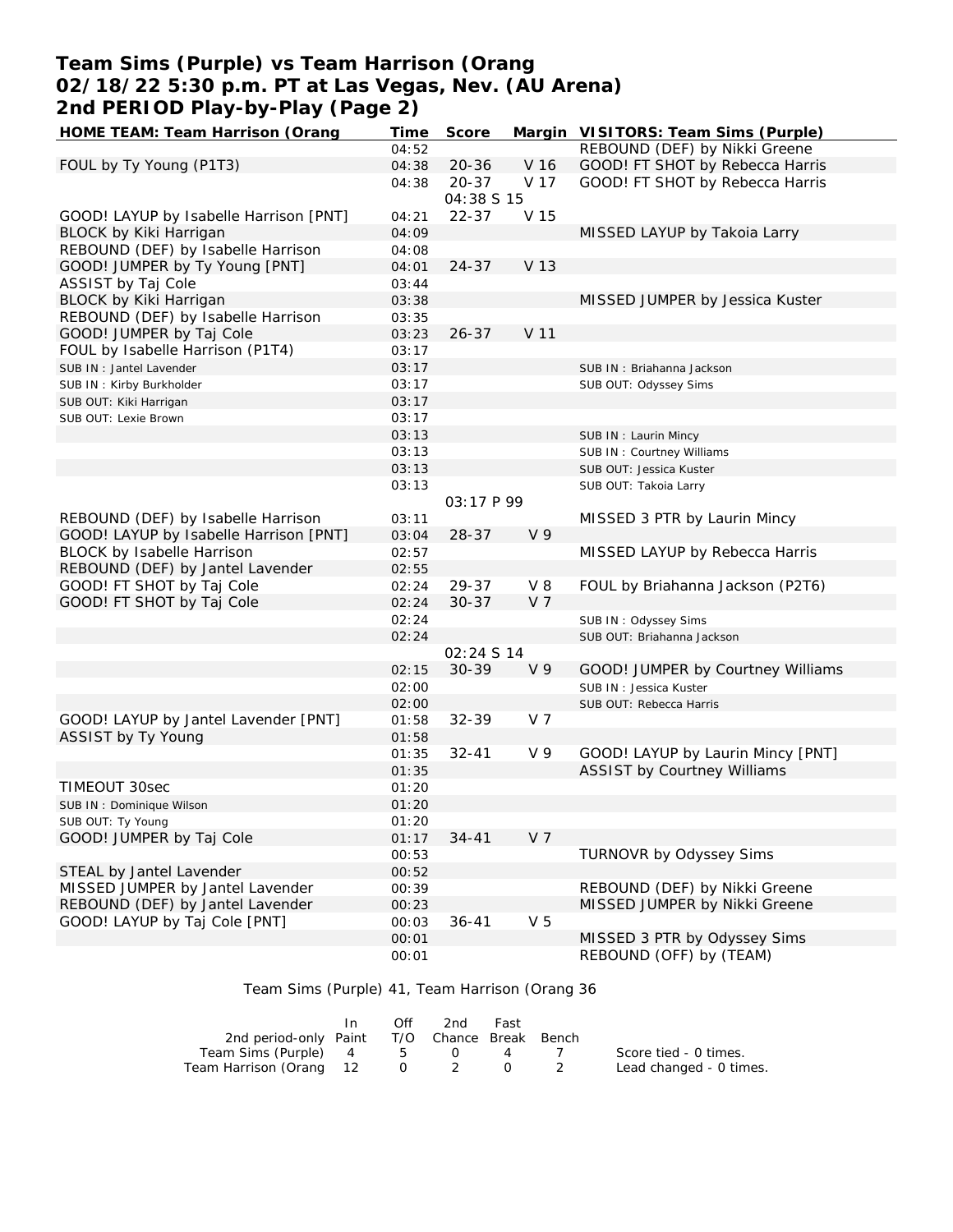# **Team Sims (Purple) vs Team Harrison (Orang 02/18/22 5:30 p.m. PT at Las Vegas, Nev. (AU Arena) 2nd PERIOD Play-by-Play (Page 2)**

| HOME TEAM: Team Harrison (Orang        | Time  | Score      |                 | Margin VISITORS: Team Sims (Purple) |
|----------------------------------------|-------|------------|-----------------|-------------------------------------|
|                                        | 04:52 |            |                 | REBOUND (DEF) by Nikki Greene       |
| FOUL by Ty Young (P1T3)                | 04:38 | $20 - 36$  | V 16            | GOOD! FT SHOT by Rebecca Harris     |
|                                        | 04:38 | $20 - 37$  | V 17            | GOOD! FT SHOT by Rebecca Harris     |
|                                        |       | 04:38 S 15 |                 |                                     |
| GOOD! LAYUP by Isabelle Harrison [PNT] | 04:21 | $22 - 37$  | V 15            |                                     |
| BLOCK by Kiki Harrigan                 | 04:09 |            |                 | MISSED LAYUP by Takoia Larry        |
| REBOUND (DEF) by Isabelle Harrison     | 04:08 |            |                 |                                     |
| GOOD! JUMPER by Ty Young [PNT]         | 04:01 | $24 - 37$  | V 13            |                                     |
| ASSIST by Taj Cole                     | 03:44 |            |                 |                                     |
| BLOCK by Kiki Harrigan                 | 03:38 |            |                 | MISSED JUMPER by Jessica Kuster     |
| REBOUND (DEF) by Isabelle Harrison     | 03:35 |            |                 |                                     |
| GOOD! JUMPER by Taj Cole               | 03:23 | $26 - 37$  | V <sub>11</sub> |                                     |
| FOUL by Isabelle Harrison (P1T4)       | 03:17 |            |                 |                                     |
| SUB IN : Jantel Lavender               | 03:17 |            |                 | SUB IN: Briahanna Jackson           |
| SUB IN: Kirby Burkholder               | 03:17 |            |                 | SUB OUT: Odyssey Sims               |
| SUB OUT: Kiki Harrigan                 | 03:17 |            |                 |                                     |
| SUB OUT: Lexie Brown                   | 03:17 |            |                 |                                     |
|                                        | 03:13 |            |                 | SUB IN: Laurin Mincy                |
|                                        | 03:13 |            |                 | SUB IN: Courtney Williams           |
|                                        | 03:13 |            |                 | SUB OUT: Jessica Kuster             |
|                                        | 03:13 |            |                 | SUB OUT: Takoia Larry               |
|                                        |       | 03:17 P 99 |                 |                                     |
| REBOUND (DEF) by Isabelle Harrison     | 03:11 |            |                 | MISSED 3 PTR by Laurin Mincy        |
| GOOD! LAYUP by Isabelle Harrison [PNT] | 03:04 | $28 - 37$  | V <sub>9</sub>  |                                     |
| BLOCK by Isabelle Harrison             | 02:57 |            |                 | MISSED LAYUP by Rebecca Harris      |
| REBOUND (DEF) by Jantel Lavender       | 02:55 |            |                 |                                     |
| GOOD! FT SHOT by Taj Cole              | 02:24 | 29-37      | $V_8$           | FOUL by Briahanna Jackson (P2T6)    |
| GOOD! FT SHOT by Taj Cole              | 02:24 | $30 - 37$  | V <sub>7</sub>  |                                     |
|                                        | 02:24 |            |                 | SUB IN: Odyssey Sims                |
|                                        | 02:24 |            |                 | SUB OUT: Briahanna Jackson          |
|                                        |       | 02:24 S 14 |                 |                                     |
|                                        | 02:15 | 30-39      | V <sub>9</sub>  | GOOD! JUMPER by Courtney Williams   |
|                                        | 02:00 |            |                 | SUB IN: Jessica Kuster              |
|                                        | 02:00 |            |                 | SUB OUT: Rebecca Harris             |
| GOOD! LAYUP by Jantel Lavender [PNT]   | 01:58 | 32-39      | V <sub>7</sub>  |                                     |
| ASSIST by Ty Young                     | 01:58 |            |                 |                                     |
|                                        | 01:35 | $32 - 41$  | V <sub>9</sub>  | GOOD! LAYUP by Laurin Mincy [PNT]   |
|                                        |       |            |                 | <b>ASSIST by Courtney Williams</b>  |
| TIMEOUT 30sec                          | 01:35 |            |                 |                                     |
|                                        | 01:20 |            |                 |                                     |
| SUB IN: Dominique Wilson               | 01:20 |            |                 |                                     |
| SUB OUT: Ty Young                      | 01:20 |            |                 |                                     |
| GOOD! JUMPER by Taj Cole               | 01:17 | $34 - 41$  | V <sub>7</sub>  |                                     |
|                                        | 00:53 |            |                 | TURNOVR by Odyssey Sims             |
| STEAL by Jantel Lavender               | 00:52 |            |                 |                                     |
| MISSED JUMPER by Jantel Lavender       | 00:39 |            |                 | REBOUND (DEF) by Nikki Greene       |
| REBOUND (DEF) by Jantel Lavender       | 00:23 |            |                 | MISSED JUMPER by Nikki Greene       |
| GOOD! LAYUP by Taj Cole [PNT]          | 00:03 | $36 - 41$  | V <sub>5</sub>  |                                     |
|                                        | 00:01 |            |                 | MISSED 3 PTR by Odyssey Sims        |
|                                        | 00:01 |            |                 | REBOUND (OFF) by (TEAM)             |

Team Sims (Purple) 41, Team Harrison (Orang 36

|                                              | Off | 2nd          | Fast |                         |
|----------------------------------------------|-----|--------------|------|-------------------------|
| 2nd period-only Paint T/O Chance Break Bench |     |              |      |                         |
| Team Sims (Purple) 4 5 0 4                   |     |              |      | Score tied - 0 times.   |
| Team Harrison (Orang 12                      |     | $0 \qquad 2$ |      | Lead changed - 0 times. |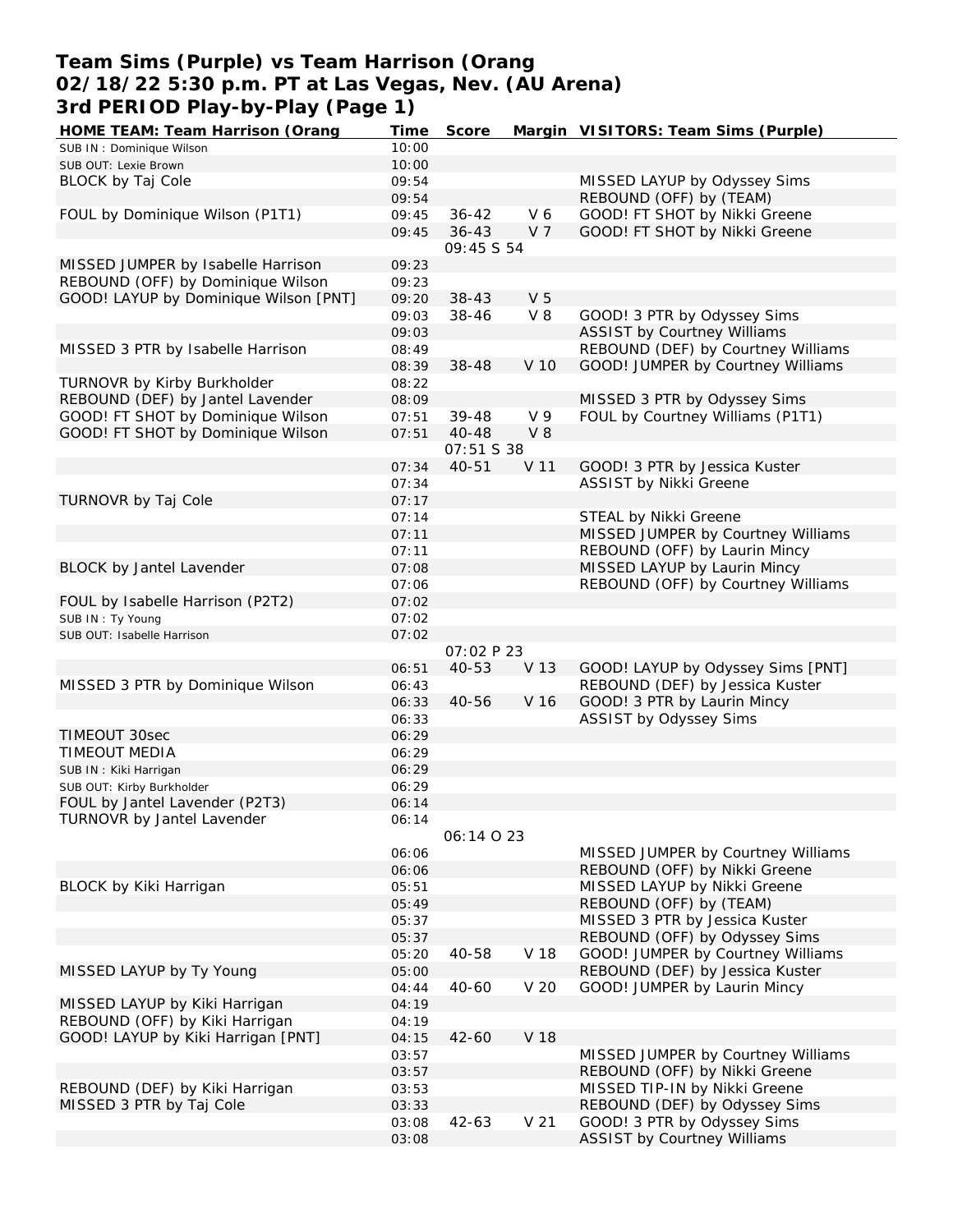## **Team Sims (Purple) vs Team Harrison (Orang 02/18/22 5:30 p.m. PT at Las Vegas, Nev. (AU Arena) 3rd PERIOD Play-by-Play (Page 1)**

| HOME TEAM: Team Harrison (Orang       | Time  | Score      |                 | Margin VISITORS: Team Sims (Purple) |
|---------------------------------------|-------|------------|-----------------|-------------------------------------|
| SUB IN: Dominique Wilson              | 10:00 |            |                 |                                     |
| SUB OUT: Lexie Brown                  | 10:00 |            |                 |                                     |
| <b>BLOCK by Taj Cole</b>              | 09:54 |            |                 | MISSED LAYUP by Odyssey Sims        |
|                                       | 09:54 |            |                 | REBOUND (OFF) by (TEAM)             |
| FOUL by Dominique Wilson (P1T1)       | 09:45 | $36 - 42$  | V6              | GOOD! FT SHOT by Nikki Greene       |
|                                       | 09:45 | $36 - 43$  | V 7             | GOOD! FT SHOT by Nikki Greene       |
|                                       |       | 09:45 \$54 |                 |                                     |
|                                       |       |            |                 |                                     |
| MISSED JUMPER by Isabelle Harrison    | 09:23 |            |                 |                                     |
| REBOUND (OFF) by Dominique Wilson     | 09:23 |            |                 |                                     |
| GOOD! LAYUP by Dominique Wilson [PNT] | 09:20 | 38-43      | V <sub>5</sub>  |                                     |
|                                       | 09:03 | $38 - 46$  | $V_8$           | GOOD! 3 PTR by Odyssey Sims         |
|                                       | 09:03 |            |                 | <b>ASSIST by Courtney Williams</b>  |
| MISSED 3 PTR by Isabelle Harrison     | 08:49 |            |                 | REBOUND (DEF) by Courtney Williams  |
|                                       | 08:39 | 38-48      | V 10            | GOOD! JUMPER by Courtney Williams   |
| TURNOVR by Kirby Burkholder           | 08:22 |            |                 |                                     |
| REBOUND (DEF) by Jantel Lavender      | 08:09 |            |                 | MISSED 3 PTR by Odyssey Sims        |
| GOOD! FT SHOT by Dominique Wilson     | 07:51 | 39-48      | V <sub>9</sub>  | FOUL by Courtney Williams (P1T1)    |
| GOOD! FT SHOT by Dominique Wilson     | 07:51 | 40-48      | V8              |                                     |
|                                       |       | 07:51 S 38 |                 |                                     |
|                                       |       |            |                 |                                     |
|                                       | 07:34 | $40 - 51$  | V 11            | GOOD! 3 PTR by Jessica Kuster       |
|                                       | 07:34 |            |                 | ASSIST by Nikki Greene              |
| TURNOVR by Taj Cole                   | 07:17 |            |                 |                                     |
|                                       | 07:14 |            |                 | STEAL by Nikki Greene               |
|                                       | 07:11 |            |                 | MISSED JUMPER by Courtney Williams  |
|                                       | 07:11 |            |                 | REBOUND (OFF) by Laurin Mincy       |
| BLOCK by Jantel Lavender              | 07:08 |            |                 | MISSED LAYUP by Laurin Mincy        |
|                                       | 07:06 |            |                 | REBOUND (OFF) by Courtney Williams  |
| FOUL by Isabelle Harrison (P2T2)      | 07:02 |            |                 |                                     |
| SUB IN: Ty Young                      | 07:02 |            |                 |                                     |
| SUB OUT: Isabelle Harrison            | 07:02 |            |                 |                                     |
|                                       |       | 07:02 P 23 |                 |                                     |
|                                       | 06:51 | $40 - 53$  | V 13            | GOOD! LAYUP by Odyssey Sims [PNT]   |
|                                       |       |            |                 |                                     |
| MISSED 3 PTR by Dominique Wilson      | 06:43 |            |                 | REBOUND (DEF) by Jessica Kuster     |
|                                       | 06:33 | 40-56      | V 16            | GOOD! 3 PTR by Laurin Mincy         |
|                                       | 06:33 |            |                 | ASSIST by Odyssey Sims              |
| TIMEOUT 30sec                         | 06:29 |            |                 |                                     |
| TIMEOUT MEDIA                         | 06:29 |            |                 |                                     |
| SUB IN: Kiki Harrigan                 | 06:29 |            |                 |                                     |
| SUB OUT: Kirby Burkholder             | 06:29 |            |                 |                                     |
| FOUL by Jantel Lavender (P2T3)        | 06:14 |            |                 |                                     |
| TURNOVR by Jantel Lavender            | 06:14 |            |                 |                                     |
|                                       |       | 06:14 0 23 |                 |                                     |
|                                       | 06:06 |            |                 | MISSED JUMPER by Courtney Williams  |
|                                       | 06:06 |            |                 | REBOUND (OFF) by Nikki Greene       |
|                                       |       |            |                 | MISSED LAYUP by Nikki Greene        |
| BLOCK by Kiki Harrigan                | 05:51 |            |                 |                                     |
|                                       | 05:49 |            |                 | REBOUND (OFF) by (TEAM)             |
|                                       | 05:37 |            |                 | MISSED 3 PTR by Jessica Kuster      |
|                                       | 05:37 |            |                 | REBOUND (OFF) by Odyssey Sims       |
|                                       | 05:20 | 40-58      | V 18            | GOOD! JUMPER by Courtney Williams   |
| MISSED LAYUP by Ty Young              | 05:00 |            |                 | REBOUND (DEF) by Jessica Kuster     |
|                                       | 04:44 | 40-60      | V 20            | GOOD! JUMPER by Laurin Mincy        |
| MISSED LAYUP by Kiki Harrigan         | 04:19 |            |                 |                                     |
| REBOUND (OFF) by Kiki Harrigan        | 04:19 |            |                 |                                     |
| GOOD! LAYUP by Kiki Harrigan [PNT]    | 04:15 | $42 - 60$  | V 18            |                                     |
|                                       | 03:57 |            |                 | MISSED JUMPER by Courtney Williams  |
|                                       | 03:57 |            |                 | REBOUND (OFF) by Nikki Greene       |
| REBOUND (DEF) by Kiki Harrigan        |       |            |                 | MISSED TIP-IN by Nikki Greene       |
|                                       | 03:53 |            |                 |                                     |
| MISSED 3 PTR by Taj Cole              | 03:33 |            |                 | REBOUND (DEF) by Odyssey Sims       |
|                                       | 03:08 | $42 - 63$  | V <sub>21</sub> | GOOD! 3 PTR by Odyssey Sims         |
|                                       | 03:08 |            |                 | <b>ASSIST by Courtney Williams</b>  |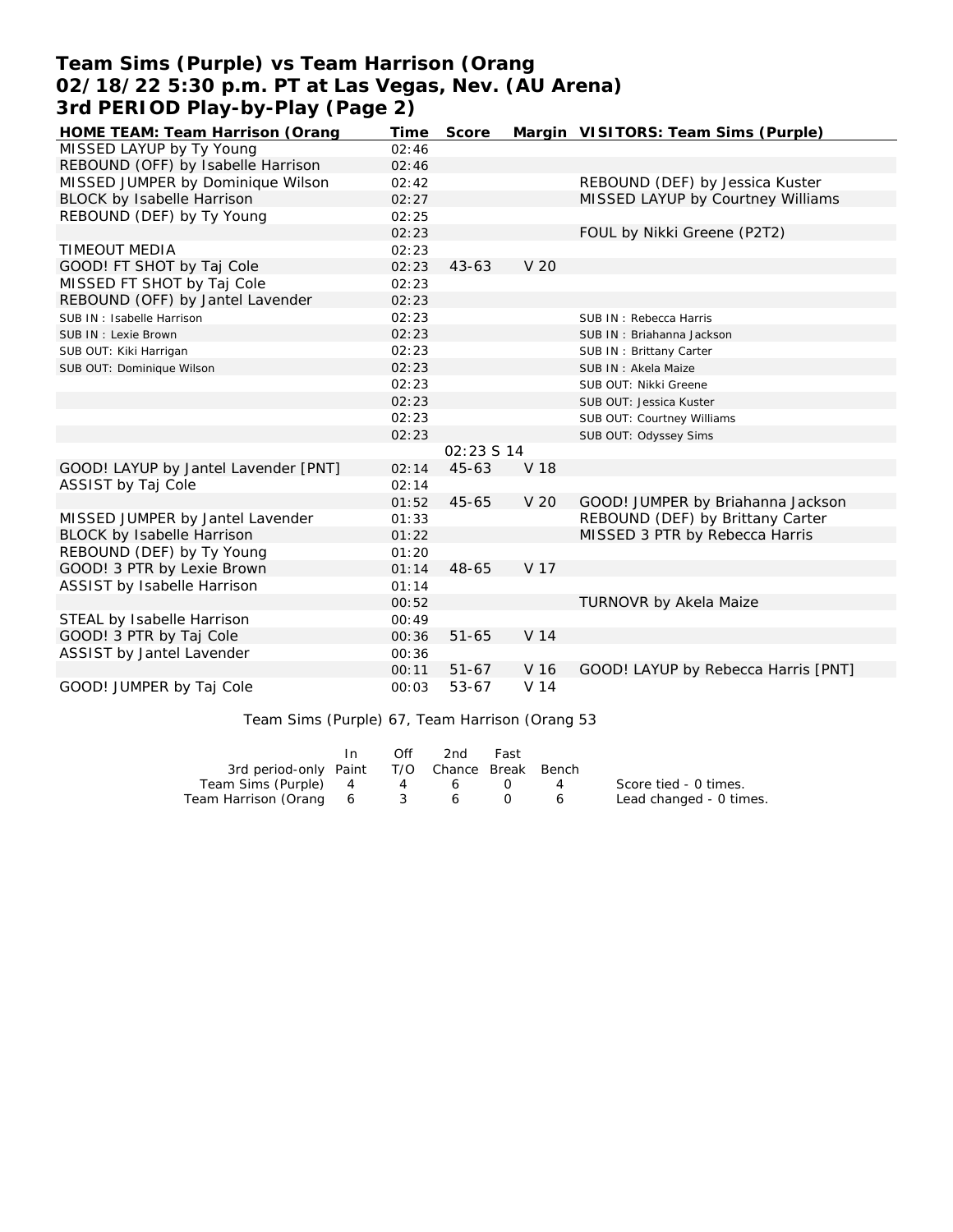# **Team Sims (Purple) vs Team Harrison (Orang 02/18/22 5:30 p.m. PT at Las Vegas, Nev. (AU Arena) 3rd PERIOD Play-by-Play (Page 2)**

| HOME TEAM: Team Harrison (Orang      | Time  | Score       |                 | Margin VISITORS: Team Sims (Purple) |
|--------------------------------------|-------|-------------|-----------------|-------------------------------------|
| MISSED LAYUP by Ty Young             | 02:46 |             |                 |                                     |
| REBOUND (OFF) by Isabelle Harrison   | 02:46 |             |                 |                                     |
| MISSED JUMPER by Dominique Wilson    | 02:42 |             |                 | REBOUND (DEF) by Jessica Kuster     |
| BLOCK by Isabelle Harrison           | 02:27 |             |                 | MISSED LAYUP by Courtney Williams   |
| REBOUND (DEF) by Ty Young            | 02:25 |             |                 |                                     |
|                                      | 02:23 |             |                 | FOUL by Nikki Greene (P2T2)         |
| <b>TIMEOUT MEDIA</b>                 | 02:23 |             |                 |                                     |
| GOOD! FT SHOT by Taj Cole            | 02:23 | $43 - 63$   | V 20            |                                     |
| MISSED FT SHOT by Taj Cole           | 02:23 |             |                 |                                     |
| REBOUND (OFF) by Jantel Lavender     | 02:23 |             |                 |                                     |
| SUB IN: Isabelle Harrison            | 02:23 |             |                 | SUB IN: Rebecca Harris              |
| SUB IN : Lexie Brown                 | 02:23 |             |                 | SUB IN: Briahanna Jackson           |
| SUB OUT: Kiki Harrigan               | 02:23 |             |                 | SUB IN: Brittany Carter             |
| SUB OUT: Dominique Wilson            | 02:23 |             |                 | SUB IN: Akela Maize                 |
|                                      | 02:23 |             |                 | SUB OUT: Nikki Greene               |
|                                      | 02:23 |             |                 | SUB OUT: Jessica Kuster             |
|                                      | 02:23 |             |                 | SUB OUT: Courtney Williams          |
|                                      | 02:23 |             |                 | SUB OUT: Odyssey Sims               |
|                                      |       | 02:23 \$ 14 |                 |                                     |
| GOOD! LAYUP by Jantel Lavender [PNT] | 02:14 | $45 - 63$   | V 18            |                                     |
| ASSIST by Taj Cole                   | 02:14 |             |                 |                                     |
|                                      | 01:52 | $45 - 65$   | V 20            | GOOD! JUMPER by Briahanna Jackson   |
| MISSED JUMPER by Jantel Lavender     | 01:33 |             |                 | REBOUND (DEF) by Brittany Carter    |
| <b>BLOCK by Isabelle Harrison</b>    | 01:22 |             |                 | MISSED 3 PTR by Rebecca Harris      |
| REBOUND (DEF) by Ty Young            | 01:20 |             |                 |                                     |
| GOOD! 3 PTR by Lexie Brown           | 01:14 | 48-65       | V 17            |                                     |
| ASSIST by Isabelle Harrison          | 01:14 |             |                 |                                     |
|                                      | 00:52 |             |                 | TURNOVR by Akela Maize              |
| STEAL by Isabelle Harrison           | 00:49 |             |                 |                                     |
| GOOD! 3 PTR by Taj Cole              | 00:36 | $51 - 65$   | V <sub>14</sub> |                                     |
| ASSIST by Jantel Lavender            | 00:36 |             |                 |                                     |
|                                      | 00:11 | $51 - 67$   | V 16            | GOOD! LAYUP by Rebecca Harris [PNT] |
| GOOD! JUMPER by Taj Cole             | 00:03 | 53-67       | V <sub>14</sub> |                                     |

Team Sims (Purple) 67, Team Harrison (Orang 53

|                                              | Off | 2nd | Fast     |                |                         |
|----------------------------------------------|-----|-----|----------|----------------|-------------------------|
| 3rd period-only Paint T/O Chance Break Bench |     |     |          |                |                         |
| Team Sims (Purple) 4                         |     | 4 6 | $\Omega$ | $\overline{4}$ | Score tied - 0 times.   |
| Team Harrison (Orang 6 3 6                   |     |     |          | 6              | Lead changed - 0 times. |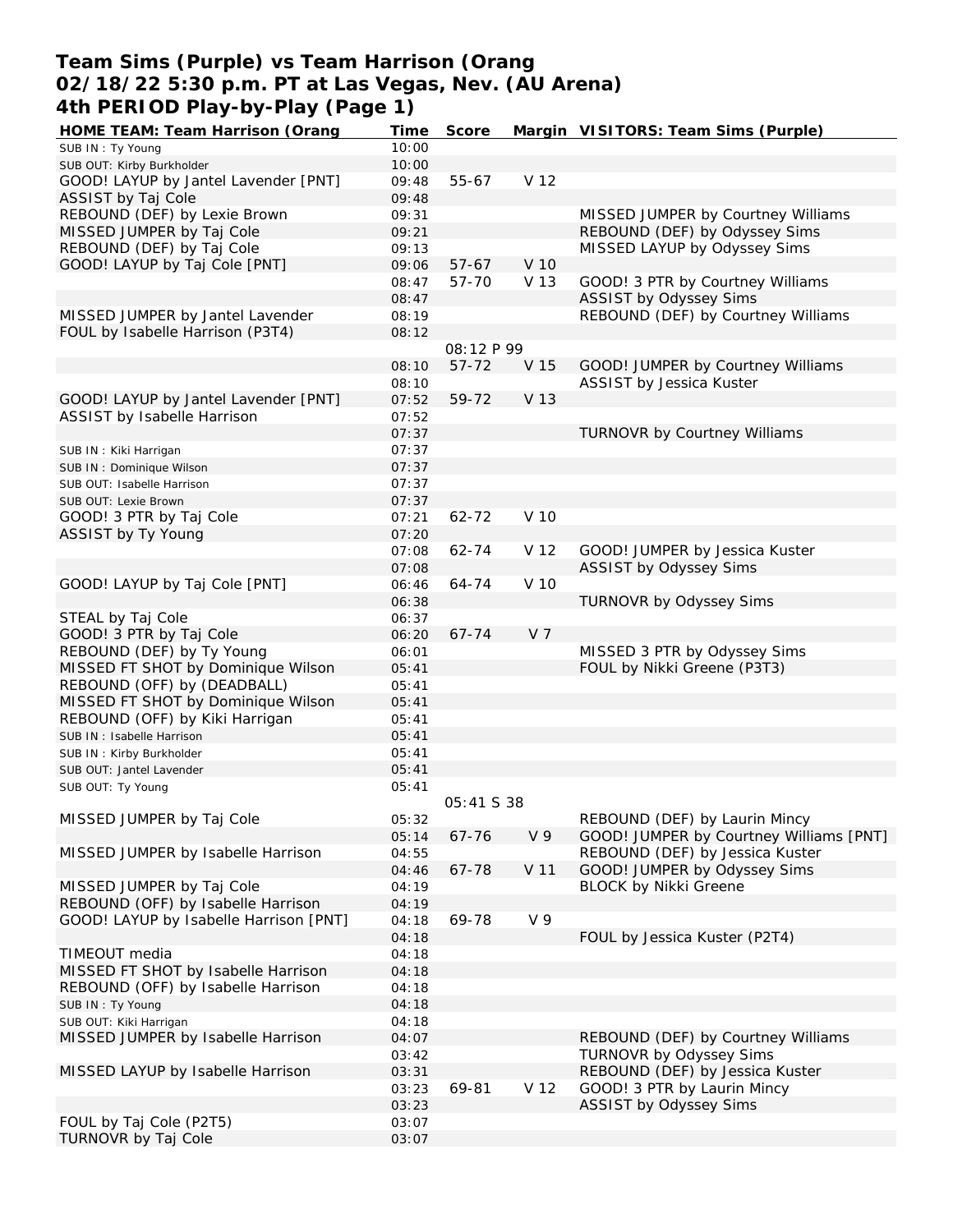## **Team Sims (Purple) vs Team Harrison (Orang 02/18/22 5:30 p.m. PT at Las Vegas, Nev. (AU Arena) 4th PERIOD Play-by-Play (Page 1)**

| HOME TEAM: Team Harrison (Orang        | Time  | Score      |                | Margin VISITORS: Team Sims (Purple)     |
|----------------------------------------|-------|------------|----------------|-----------------------------------------|
| SUB IN: Ty Young                       | 10:00 |            |                |                                         |
| SUB OUT: Kirby Burkholder              | 10:00 |            |                |                                         |
| GOOD! LAYUP by Jantel Lavender [PNT]   | 09:48 | $55 - 67$  | V 12           |                                         |
| ASSIST by Taj Cole                     | 09:48 |            |                |                                         |
| REBOUND (DEF) by Lexie Brown           | 09:31 |            |                | MISSED JUMPER by Courtney Williams      |
| MISSED JUMPER by Taj Cole              | 09:21 |            |                | REBOUND (DEF) by Odyssey Sims           |
| REBOUND (DEF) by Taj Cole              | 09:13 |            |                | MISSED LAYUP by Odyssey Sims            |
| GOOD! LAYUP by Taj Cole [PNT]          | 09:06 | $57 - 67$  | V 10           |                                         |
|                                        | 08:47 | 57-70      | V 13           | GOOD! 3 PTR by Courtney Williams        |
|                                        | 08:47 |            |                | ASSIST by Odyssey Sims                  |
| MISSED JUMPER by Jantel Lavender       | 08:19 |            |                | REBOUND (DEF) by Courtney Williams      |
| FOUL by Isabelle Harrison (P3T4)       | 08:12 |            |                |                                         |
|                                        |       | 08:12 P 99 |                |                                         |
|                                        |       |            |                |                                         |
|                                        | 08:10 | $57 - 72$  | V 15           | GOOD! JUMPER by Courtney Williams       |
|                                        | 08:10 |            |                | ASSIST by Jessica Kuster                |
| GOOD! LAYUP by Jantel Lavender [PNT]   | 07:52 | 59-72      | V 13           |                                         |
| ASSIST by Isabelle Harrison            | 07:52 |            |                |                                         |
|                                        | 07:37 |            |                | TURNOVR by Courtney Williams            |
| SUB IN: Kiki Harrigan                  | 07:37 |            |                |                                         |
| SUB IN: Dominique Wilson               | 07:37 |            |                |                                         |
| SUB OUT: Isabelle Harrison             | 07:37 |            |                |                                         |
| SUB OUT: Lexie Brown                   | 07:37 |            |                |                                         |
| GOOD! 3 PTR by Taj Cole                | 07:21 | $62 - 72$  | V 10           |                                         |
| ASSIST by Ty Young                     | 07:20 |            |                |                                         |
|                                        | 07:08 | $62 - 74$  | V 12           | GOOD! JUMPER by Jessica Kuster          |
|                                        | 07:08 |            |                | ASSIST by Odyssey Sims                  |
| GOOD! LAYUP by Taj Cole [PNT]          | 06:46 | 64-74      | V 10           |                                         |
|                                        | 06:38 |            |                | TURNOVR by Odyssey Sims                 |
| STEAL by Taj Cole                      | 06:37 |            |                |                                         |
| GOOD! 3 PTR by Taj Cole                | 06:20 | $67 - 74$  | V <sub>7</sub> |                                         |
| REBOUND (DEF) by Ty Young              | 06:01 |            |                | MISSED 3 PTR by Odyssey Sims            |
| MISSED FT SHOT by Dominique Wilson     | 05:41 |            |                | FOUL by Nikki Greene (P3T3)             |
| REBOUND (OFF) by (DEADBALL)            | 05:41 |            |                |                                         |
| MISSED FT SHOT by Dominique Wilson     | 05:41 |            |                |                                         |
| REBOUND (OFF) by Kiki Harrigan         | 05:41 |            |                |                                         |
|                                        |       |            |                |                                         |
| SUB IN: Isabelle Harrison              | 05:41 |            |                |                                         |
| SUB IN: Kirby Burkholder               | 05:41 |            |                |                                         |
| SUB OUT: Jantel Lavender               | 05:41 |            |                |                                         |
| SUB OUT: Ty Young                      | 05:41 |            |                |                                         |
|                                        |       | 05:41 S 38 |                |                                         |
| MISSED JUMPER by Taj Cole              | 05:32 |            |                | REBOUND (DEF) by Laurin Mincy           |
|                                        | 05:14 | $67 - 76$  | V <sub>9</sub> | GOOD! JUMPER by Courtney Williams [PNT] |
| MISSED JUMPER by Isabelle Harrison     | 04:55 |            |                | REBOUND (DEF) by Jessica Kuster         |
|                                        | 04:46 | 67-78      | V 11           | GOOD! JUMPER by Odyssey Sims            |
| MISSED JUMPER by Taj Cole              | 04:19 |            |                | <b>BLOCK by Nikki Greene</b>            |
| REBOUND (OFF) by Isabelle Harrison     | 04:19 |            |                |                                         |
| GOOD! LAYUP by Isabelle Harrison [PNT] | 04:18 | 69-78      | V <sub>9</sub> |                                         |
|                                        | 04:18 |            |                | FOUL by Jessica Kuster (P2T4)           |
| TIMEOUT media                          | 04:18 |            |                |                                         |
| MISSED FT SHOT by Isabelle Harrison    | 04:18 |            |                |                                         |
| REBOUND (OFF) by Isabelle Harrison     | 04:18 |            |                |                                         |
| SUB IN: Ty Young                       | 04:18 |            |                |                                         |
| SUB OUT: Kiki Harrigan                 | 04:18 |            |                |                                         |
| MISSED JUMPER by Isabelle Harrison     | 04:07 |            |                | REBOUND (DEF) by Courtney Williams      |
|                                        | 03:42 |            |                | TURNOVR by Odyssey Sims                 |
| MISSED LAYUP by Isabelle Harrison      | 03:31 |            |                | REBOUND (DEF) by Jessica Kuster         |
|                                        | 03:23 | 69-81      | V 12           | GOOD! 3 PTR by Laurin Mincy             |
|                                        | 03:23 |            |                | ASSIST by Odyssey Sims                  |
| FOUL by Taj Cole (P2T5)                | 03:07 |            |                |                                         |
| TURNOVR by Taj Cole                    |       |            |                |                                         |
|                                        | 03:07 |            |                |                                         |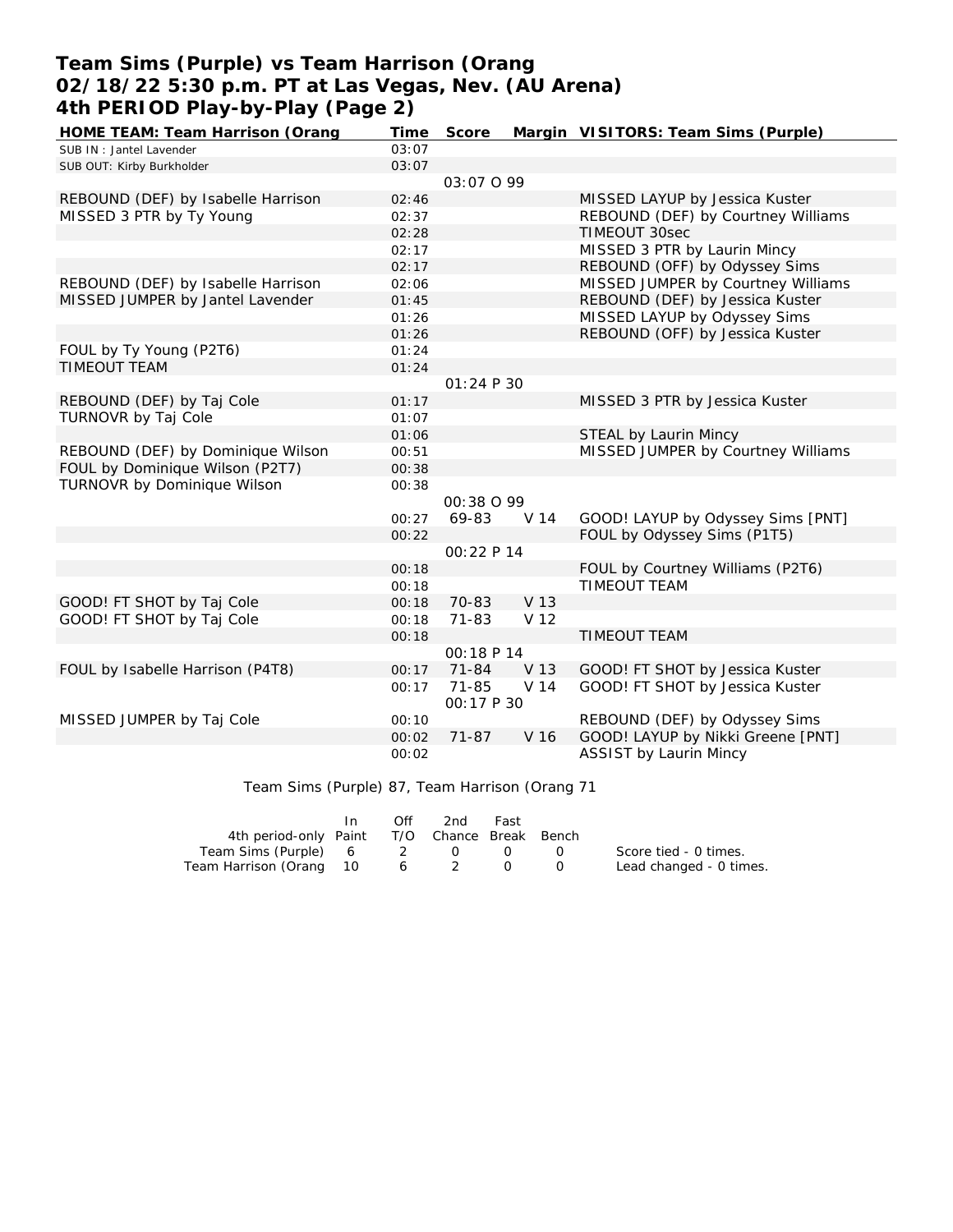# **Team Sims (Purple) vs Team Harrison (Orang 02/18/22 5:30 p.m. PT at Las Vegas, Nev. (AU Arena) 4th PERIOD Play-by-Play (Page 2)**

| HOME TEAM: Team Harrison (Orang    | Time  | Score       |                 | Margin VISITORS: Team Sims (Purple) |
|------------------------------------|-------|-------------|-----------------|-------------------------------------|
| SUB IN : Jantel Lavender           | 03:07 |             |                 |                                     |
| SUB OUT: Kirby Burkholder          | 03:07 |             |                 |                                     |
|                                    |       | 03:07 0 99  |                 |                                     |
| REBOUND (DEF) by Isabelle Harrison | 02:46 |             |                 | MISSED LAYUP by Jessica Kuster      |
| MISSED 3 PTR by Ty Young           | 02:37 |             |                 | REBOUND (DEF) by Courtney Williams  |
|                                    | 02:28 |             |                 | TIMEOUT 30sec                       |
|                                    | 02:17 |             |                 | MISSED 3 PTR by Laurin Mincy        |
|                                    | 02:17 |             |                 | REBOUND (OFF) by Odyssey Sims       |
| REBOUND (DEF) by Isabelle Harrison | 02:06 |             |                 | MISSED JUMPER by Courtney Williams  |
| MISSED JUMPER by Jantel Lavender   | 01:45 |             |                 | REBOUND (DEF) by Jessica Kuster     |
|                                    | 01:26 |             |                 | MISSED LAYUP by Odyssey Sims        |
|                                    | 01:26 |             |                 | REBOUND (OFF) by Jessica Kuster     |
| FOUL by Ty Young (P2T6)            | 01:24 |             |                 |                                     |
| <b>TIMEOUT TEAM</b>                | 01:24 |             |                 |                                     |
|                                    |       | 01:24 P 30  |                 |                                     |
| REBOUND (DEF) by Taj Cole          | 01:17 |             |                 | MISSED 3 PTR by Jessica Kuster      |
| TURNOVR by Taj Cole                | 01:07 |             |                 |                                     |
|                                    | 01:06 |             |                 | STEAL by Laurin Mincy               |
| REBOUND (DEF) by Dominique Wilson  | 00:51 |             |                 | MISSED JUMPER by Courtney Williams  |
| FOUL by Dominique Wilson (P2T7)    | 00:38 |             |                 |                                     |
| <b>TURNOVR by Dominique Wilson</b> | 00:38 |             |                 |                                     |
|                                    |       | 00:38 0 99  |                 |                                     |
|                                    | 00:27 | 69-83       | V <sub>14</sub> | GOOD! LAYUP by Odyssey Sims [PNT]   |
|                                    | 00:22 |             |                 | FOUL by Odyssey Sims (P1T5)         |
|                                    |       | 00:22 P 14  |                 |                                     |
|                                    | 00:18 |             |                 | FOUL by Courtney Williams (P2T6)    |
|                                    | 00:18 |             |                 | <b>TIMEOUT TEAM</b>                 |
| GOOD! FT SHOT by Taj Cole          | 00:18 | 70-83       | V 13            |                                     |
| GOOD! FT SHOT by Taj Cole          | 00:18 | $71 - 83$   | V 12            |                                     |
|                                    | 00:18 |             |                 | <b>TIMEOUT TEAM</b>                 |
|                                    |       | 00:18 P 14  |                 |                                     |
| FOUL by Isabelle Harrison (P4T8)   | 00:17 | $71 - 84$   | V 13            | GOOD! FT SHOT by Jessica Kuster     |
|                                    | 00:17 | $71 - 85$   | V 14            | GOOD! FT SHOT by Jessica Kuster     |
|                                    |       | OO: 17 P 30 |                 |                                     |
| MISSED JUMPER by Taj Cole          | 00:10 |             |                 | REBOUND (DEF) by Odyssey Sims       |
|                                    | 00:02 | $71 - 87$   | V 16            | GOOD! LAYUP by Nikki Greene [PNT]   |
|                                    | 00:02 |             |                 | <b>ASSIST by Laurin Mincy</b>       |

#### Team Sims (Purple) 87, Team Harrison (Orang 71

|                                              | In | Off | 2nd       | Fast |                         |
|----------------------------------------------|----|-----|-----------|------|-------------------------|
| 4th period-only Paint T/O Chance Break Bench |    |     |           |      |                         |
| Team Sims (Purple) 6                         |    | - 2 | $\bigcap$ |      | Score tied - 0 times.   |
| Team Harrison (Orang 10                      |    |     | 6 2       |      | Lead changed - 0 times. |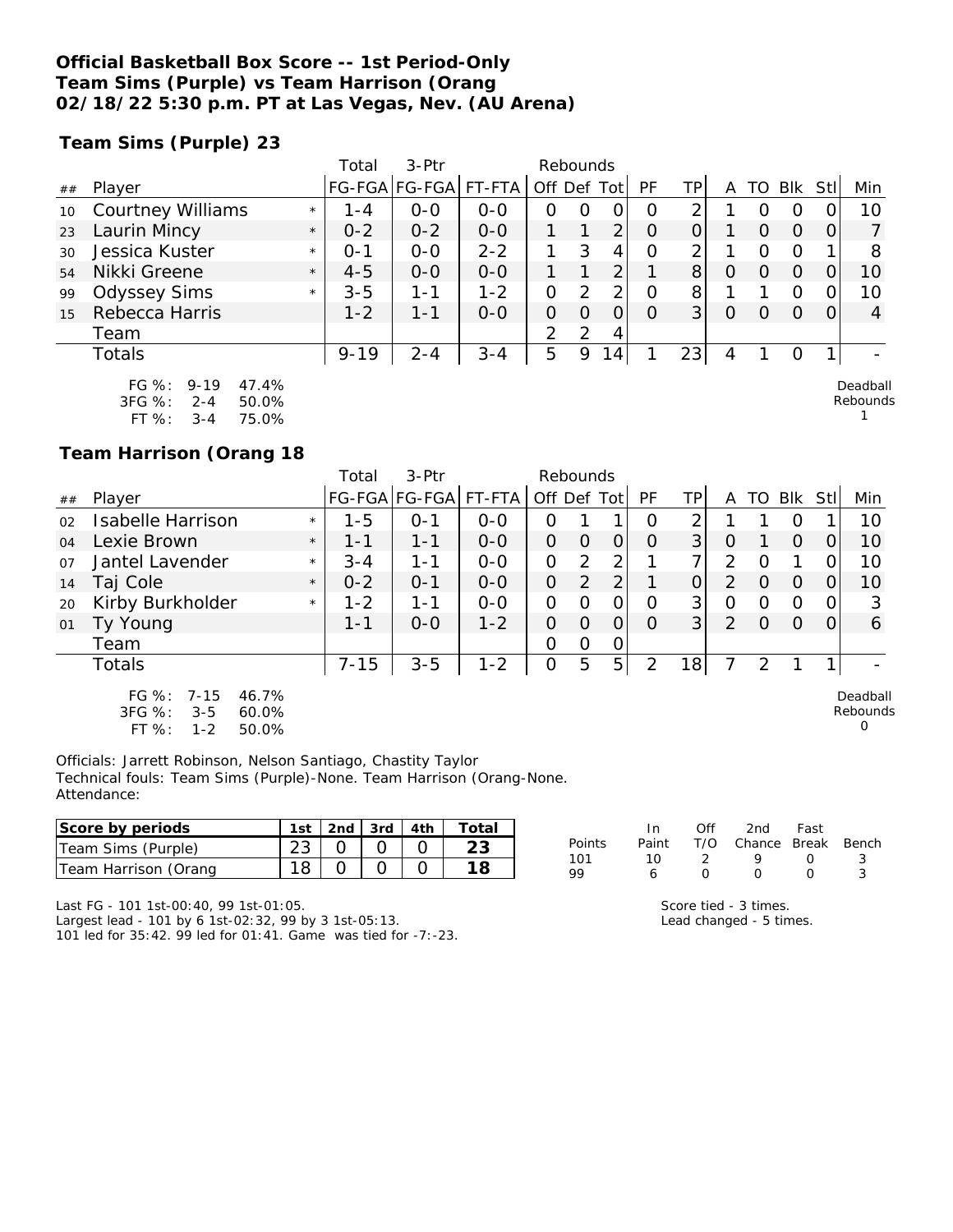#### **Official Basketball Box Score -- 1st Period-Only Team Sims (Purple) vs Team Harrison (Orang 02/18/22 5:30 p.m. PT at Las Vegas, Nev. (AU Arena)**

**Team Sims (Purple) 23**

|    |                                                                  |         | Total    | 3-Ptr         |         | Rebounds |               |                 |    |                |   |    |                |     |                      |
|----|------------------------------------------------------------------|---------|----------|---------------|---------|----------|---------------|-----------------|----|----------------|---|----|----------------|-----|----------------------|
| ## | Player                                                           |         |          | FG-FGA FG-FGA | FT-FTA  | Off Def  |               | Tot             | PF | TP             |   | TO | <b>BIK</b>     | Stl | Min                  |
| 10 | <b>Courtney Williams</b>                                         | $\star$ | $1 - 4$  | $0 - 0$       | $0-0$   | Ο        | O             |                 | O  | ⌒              |   |    | O              |     | 10                   |
| 23 | Laurin Mincy                                                     | $\star$ | $0 - 2$  | $0 - 2$       | $0 - 0$ |          |               | $\overline{2}$  | O  |                |   | Ő  | $\overline{O}$ |     |                      |
| 30 | Jessica Kuster                                                   | $\star$ | $0 - 1$  | $0-0$         | $2 - 2$ |          | 3             | $\mathcal{A}$   | O  | ⌒              |   | Ω  | O              |     | 8                    |
| 54 | Nikki Greene                                                     | $\star$ | $4 - 5$  | $0 - 0$       | $0 - 0$ |          |               | 2               |    | 8 <sup>1</sup> | O | Ο  | $\Omega$       |     | 10                   |
| 99 | <b>Odyssey Sims</b>                                              | $\star$ | $3 - 5$  | 1-1           | $1 - 2$ | 0        | $\mathcal{P}$ | 2               | O  | 8              |   |    | 0              |     | 10                   |
| 15 | Rebecca Harris                                                   |         | $1 - 2$  | $1 - 1$       | $0 - 0$ | O        | O             | Ω               | O  | 3 <sup>1</sup> | 0 | Ω  | $\Omega$       | 0   | 4                    |
|    | Team                                                             |         |          |               |         | 2        | 2             | 4               |    |                |   |    |                |     |                      |
|    | Totals                                                           |         | $9 - 19$ | $2 - 4$       | $3 - 4$ | 5        | 9             | 14 <sub>1</sub> |    | 23             | 4 |    | 0              |     |                      |
|    | $FG \%$ :<br>$9 - 19$<br>47.4%<br>$3FG \%$ :<br>50.0%<br>$2 - 4$ |         |          |               |         |          |               |                 |    |                |   |    |                |     | Deadball<br>Rebounds |

1

3FG %: 2-4 50.0% FT %: 3-4 75.0%

### **Team Harrison (Orang 18**

|    |                         |         | Total    | 3-Ptr<br>Rebounds |         |                |          |                |                |                 |                |                  |          |     |         |
|----|-------------------------|---------|----------|-------------------|---------|----------------|----------|----------------|----------------|-----------------|----------------|------------------|----------|-----|---------|
| ## | Player                  |         |          | FG-FGA FG-FGA     | FT-FTA  | Off Def Tot    |          |                | PF             | TPI             | A              |                  | TO BIK   | Stl | Min     |
| 02 | Isabelle Harrison       | $\star$ | l -5     | $0 - 1$           | $O - O$ | 0              |          |                | Ο              | າ               |                |                  |          |     | 10      |
| 04 | Lexie Brown             | $\star$ | $1 - 1$  | $1 - 1$           | $0 - 0$ | 0              | $\Omega$ |                | $\Omega$       | 3               | Ο              |                  | O        |     | 10      |
| 07 | Jantel Lavender         | $\star$ | $3 - 4$  | $1 - 1$           | $0-0$   | 0              | 2        | ◠              |                | ⇁               | 2              | $\left( \right)$ |          |     | 10      |
| 14 | Taj Cole                | $\star$ | $0 - 2$  | $0 - 1$           | $0 - 0$ | O              | 2        | $\overline{2}$ |                | O               | 2              | O                | $\Omega$ | 0   | 10      |
| 20 | Kirby Burkholder        | $\star$ | $1 - 2$  | $1 - 1$           | $O-O$   | O              | $\Omega$ |                | Ο              | 3               | 0              | Ω                | Ω        | 0   | 3       |
| 01 | Ty Young                |         | 1-1      | $0 - 0$           | $1 - 2$ | $\Omega$       | $\Omega$ | 0              | $\Omega$       | 3 <sub>l</sub>  | $\overline{2}$ | $\Omega$         | $\Omega$ | 0   | 6       |
|    | Team                    |         |          |                   |         | 0              | 0        | 0              |                |                 |                |                  |          |     |         |
|    | <b>Totals</b>           |         | $7 - 15$ | $3 - 5$           | $1 - 2$ | $\overline{O}$ | 5        | 5              | $\overline{2}$ | 18 <sub>l</sub> | 7              | っ                |          |     |         |
|    | FG $\%$ : 7-15<br>46.7% |         |          |                   |         |                |          |                |                |                 |                |                  |          |     | Deadbal |

3FG %: 3-5 60.0%  $FT \%: 1-2$ 

Deadball Rebounds 0

Officials: Jarrett Robinson, Nelson Santiago, Chastity Taylor Technical fouls: Team Sims (Purple)-None. Team Harrison (Orang-None. Attendance:

| Score by periods     |  | 2nd $\sqrt{3}$ 3rd $\sqrt{4}$ 4th | T <sub>Omega</sub> |
|----------------------|--|-----------------------------------|--------------------|
| Team Sims (Purple)   |  |                                   |                    |
| Team Harrison (Orang |  |                                   |                    |

Last FG - 101 1st-00:40, 99 1st-01:05. Largest lead - 101 by 6 1st-02:32, 99 by 3 1st-05:13. 101 led for 35:42. 99 led for 01:41. Game was tied for -7:-23. Score tied - 3 times. Lead changed - 5 times.

In Off 2nd Fast<br>Paint T/O Chance Break Points Paint T/O Chance Break Bench<br>101 10 2 9 0 3 101 10 2 9 0 3 99 6 0 0 0 3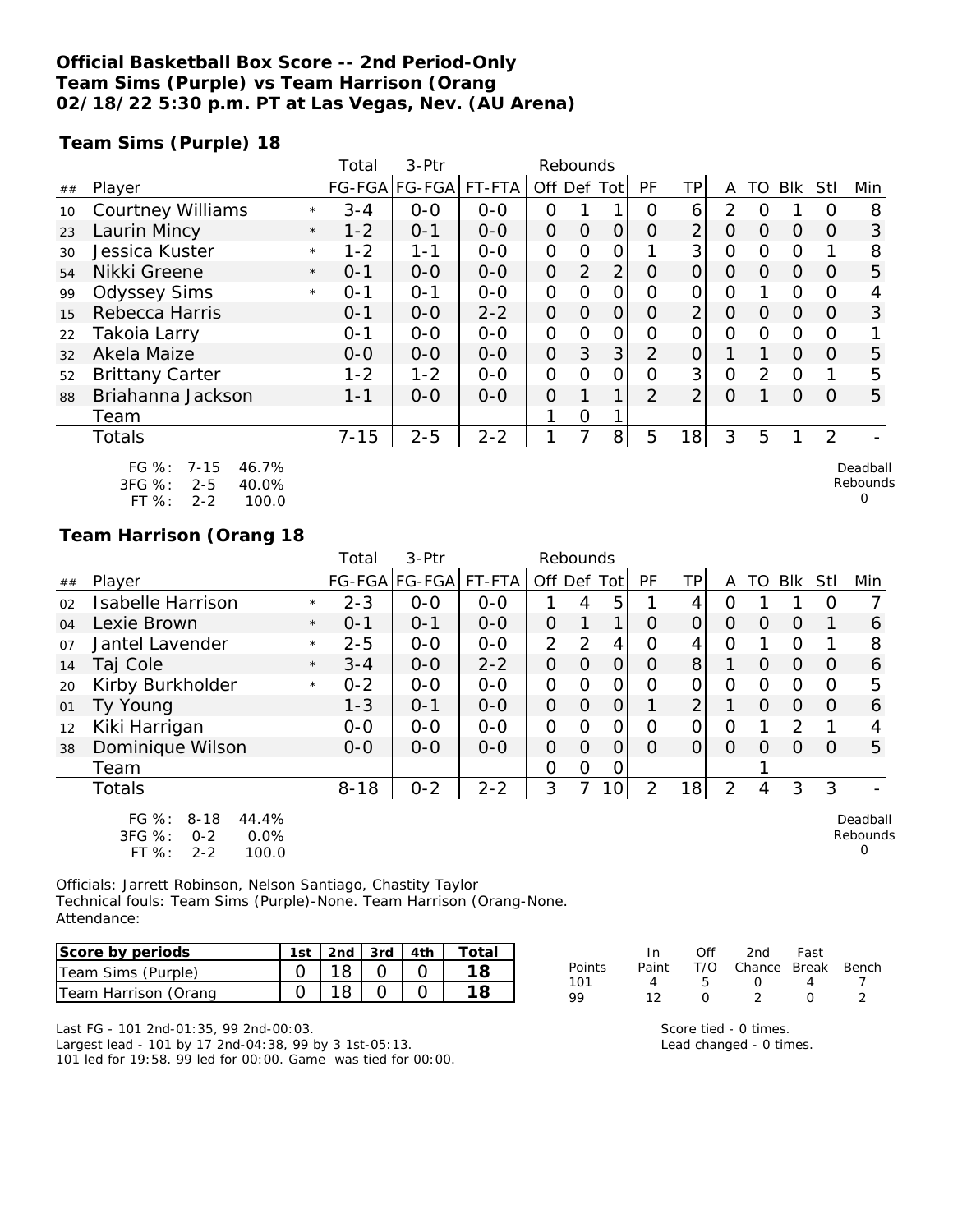### **Official Basketball Box Score -- 2nd Period-Only Team Sims (Purple) vs Team Harrison (Orang 02/18/22 5:30 p.m. PT at Las Vegas, Nev. (AU Arena)**

**Team Sims (Purple) 18**

|    |                                                                                           |         | Total    | 3-Ptr         |         | Rebounds       |                |                |           |                |                |          |            |                |                           |
|----|-------------------------------------------------------------------------------------------|---------|----------|---------------|---------|----------------|----------------|----------------|-----------|----------------|----------------|----------|------------|----------------|---------------------------|
| ## | Player                                                                                    |         |          | FG-FGA FG-FGA | FT-FTA  | Off Def Tot    |                |                | <b>PF</b> | ΤP             | A              | TO       | <b>Blk</b> | Stll           | Min                       |
| 10 | <b>Courtney Williams</b>                                                                  | $\star$ | $3 - 4$  | $O-O$         | $0-0$   | O              |                |                | Ω         | 6              | 2              | Ω        |            |                | 8                         |
| 23 | Laurin Mincy                                                                              | $\star$ | $1 - 2$  | $0 - 1$       | $0-0$   | $\overline{O}$ | 0              | 0              | O         | $\overline{2}$ | O              | 0        | $\Omega$   | O              | 3                         |
| 30 | Jessica Kuster                                                                            | $\star$ | $1 - 2$  | 1-1           | $0 - 0$ | O              | O              | 0              |           | 3              | Ο              | Ω        | 0          |                | 8                         |
| 54 | Nikki Greene                                                                              | $\star$ | $0 - 1$  | $0 - 0$       | $0-0$   | $\overline{O}$ | $\overline{2}$ | 2              | $\Omega$  | $\overline{O}$ | $\Omega$       | 0        | $\Omega$   | O              | 5                         |
| 99 | <b>Odyssey Sims</b>                                                                       | $\star$ | $O - 1$  | $0 - 1$       | $0 - 0$ | O              | 0              | 0              | 0         | $\Omega$       | $\Omega$       |          | 0          |                | 4                         |
| 15 | Rebecca Harris                                                                            |         | $0 - 1$  | $0-0$         | $2 - 2$ | $\overline{O}$ | $\Omega$       | $\overline{O}$ | O         | $\overline{2}$ | $\Omega$       | $\Omega$ | $\Omega$   | 0              | 3                         |
| 22 | Takoia Larry                                                                              |         | $0 - 1$  | $0 - 0$       | $0 - 0$ | O              | $\Omega$       | 0              | 0         | Ω              | Ω              | $\Omega$ | 0          |                |                           |
| 32 | Akela Maize                                                                               |         | $0 - 0$  | $O - O$       | $0-0$   | $\overline{O}$ | 3              | 3 <sub>l</sub> | 2         | $\overline{O}$ |                | 1        | $\Omega$   | Ω              | 5                         |
| 52 | <b>Brittany Carter</b>                                                                    |         | $1 - 2$  | $1 - 2$       | $0-0$   | $\mathcal{O}$  | $\Omega$       | 0              | 0         | 3              | $\overline{O}$ | 2        | $\Omega$   |                | 5                         |
| 88 | Briahanna Jackson                                                                         |         | 1-1      | $0 - 0$       | $0-0$   | $\Omega$       |                | 1              | 2         | $\overline{2}$ | $\circ$        |          | $\Omega$   | 0              | 5                         |
|    | Team                                                                                      |         |          |               |         |                | 0              |                |           |                |                |          |            |                |                           |
|    | <b>Totals</b>                                                                             |         | $7 - 15$ | $2 - 5$       | $2 - 2$ | 1              | 7              | 8              | 5         | 18             | 3              | 5        | 1          | $\overline{2}$ |                           |
|    | $FG \%$ :<br>$7 - 15$<br>46.7%<br>3FG %:<br>40.0%<br>$2 - 5$<br>FT %:<br>100.0<br>$2 - 2$ |         |          |               |         |                |                |                |           |                |                |          |            |                | Deadball<br>Rebounds<br>Ω |

**Team Harrison (Orang 18**

|    |                                                                                      |         | Total    | 3-Ptr                 |         | Rebounds       |                |      |                |           |                |          |                |      |                           |
|----|--------------------------------------------------------------------------------------|---------|----------|-----------------------|---------|----------------|----------------|------|----------------|-----------|----------------|----------|----------------|------|---------------------------|
| ## | Player                                                                               |         |          | FG-FGA FG-FGA  FT-FTA |         | Off Def        |                | Totl | PF             | <b>TP</b> | A              | TO       | Blk            | Stll | Min                       |
| 02 | Isabelle Harrison                                                                    | $\star$ | $2 - 3$  | $0-0$                 | $0-0$   |                | 4              | 5    |                |           | ი              |          |                |      |                           |
| 04 | Lexie Brown                                                                          | $\star$ | $0 - 1$  | $0 - 1$               | $0 - 0$ | $\overline{O}$ |                | 1    | 0              | 0         | 0              | O        | $\Omega$       |      | 6                         |
| 07 | Jantel Lavender                                                                      | $\star$ | $2 - 5$  | $0-0$                 | $0-0$   | $\overline{2}$ | $\overline{2}$ | 4    | Ω              | 4         | Ω              |          | $\Omega$       |      | 8                         |
| 14 | Taj Cole                                                                             | $\star$ | $3 - 4$  | $0-0$                 | $2 - 2$ | $\overline{O}$ | $\Omega$       | 0    | Ο              | 8         |                | O        | $\Omega$       | Ω    | 6                         |
| 20 | Kirby Burkholder                                                                     | $\star$ | $0 - 2$  | $0-0$                 | $0-0$   | 0              | $\Omega$       | 0    | Ω              | Ο         | Ω              | $\Omega$ | 0              |      | 5                         |
| 01 | Ty Young                                                                             |         | $1 - 3$  | $0 - 1$               | $O - O$ | $\overline{O}$ | $\Omega$       | O    |                | C         |                | $\Omega$ | $\Omega$       | O    | 6                         |
| 12 | Kiki Harrigan                                                                        |         | $O-O$    | $O-O$                 | $O-O$   | 0              | $\Omega$       | 0    | Ω              | 0         | 0              |          | $\overline{2}$ |      | 4                         |
| 38 | Dominique Wilson                                                                     |         | $0 - 0$  | $0 - 0$               | $0-0$   | $\Omega$       | O              | 0    | Ω              | O         | Ω              | Ω        | $\Omega$       | Ω    | 5                         |
|    | Team                                                                                 |         |          |                       |         | O              | 0              | 0    |                |           |                |          |                |      |                           |
|    | Totals                                                                               |         | $8 - 18$ | $0 - 2$               | $2 - 2$ | 3              |                | 10   | $\overline{2}$ | 18        | $\overline{2}$ | 4        | 3              | 3    |                           |
|    | FG %:<br>$8 - 18$<br>44.4%<br>3FG %:<br>0.0%<br>$O - 2$<br>FT %:<br>100.0<br>$2 - 2$ |         |          |                       |         |                |                |      |                |           |                |          |                |      | Deadball<br>Rebounds<br>O |

Officials: Jarrett Robinson, Nelson Santiago, Chastity Taylor Technical fouls: Team Sims (Purple)-None. Team Harrison (Orang-None. Attendance:

| Score by periods     | 1st | 2nd $\sqrt{3}$ rd $\sqrt{4}$ th | $\tau$ otai |
|----------------------|-----|---------------------------------|-------------|
| Team Sims (Purple)   |     |                                 |             |
| Team Harrison (Orang |     |                                 |             |

Last FG - 101 2nd-01:35, 99 2nd-00:03. Largest lead - 101 by 17 2nd-04:38, 99 by 3 1st-05:13. 101 led for 19:58. 99 led for 00:00. Game was tied for 00:00.

| Points | In.<br>Paint | Off | 2nd -<br>T/O Chance Break Bench | Fast             |  |
|--------|--------------|-----|---------------------------------|------------------|--|
| 101    | 4            | h   | $\left( \right)$                | Δ                |  |
| 99     | 12           | O   |                                 | $\left( \right)$ |  |

Score tied - 0 times. Lead changed - 0 times.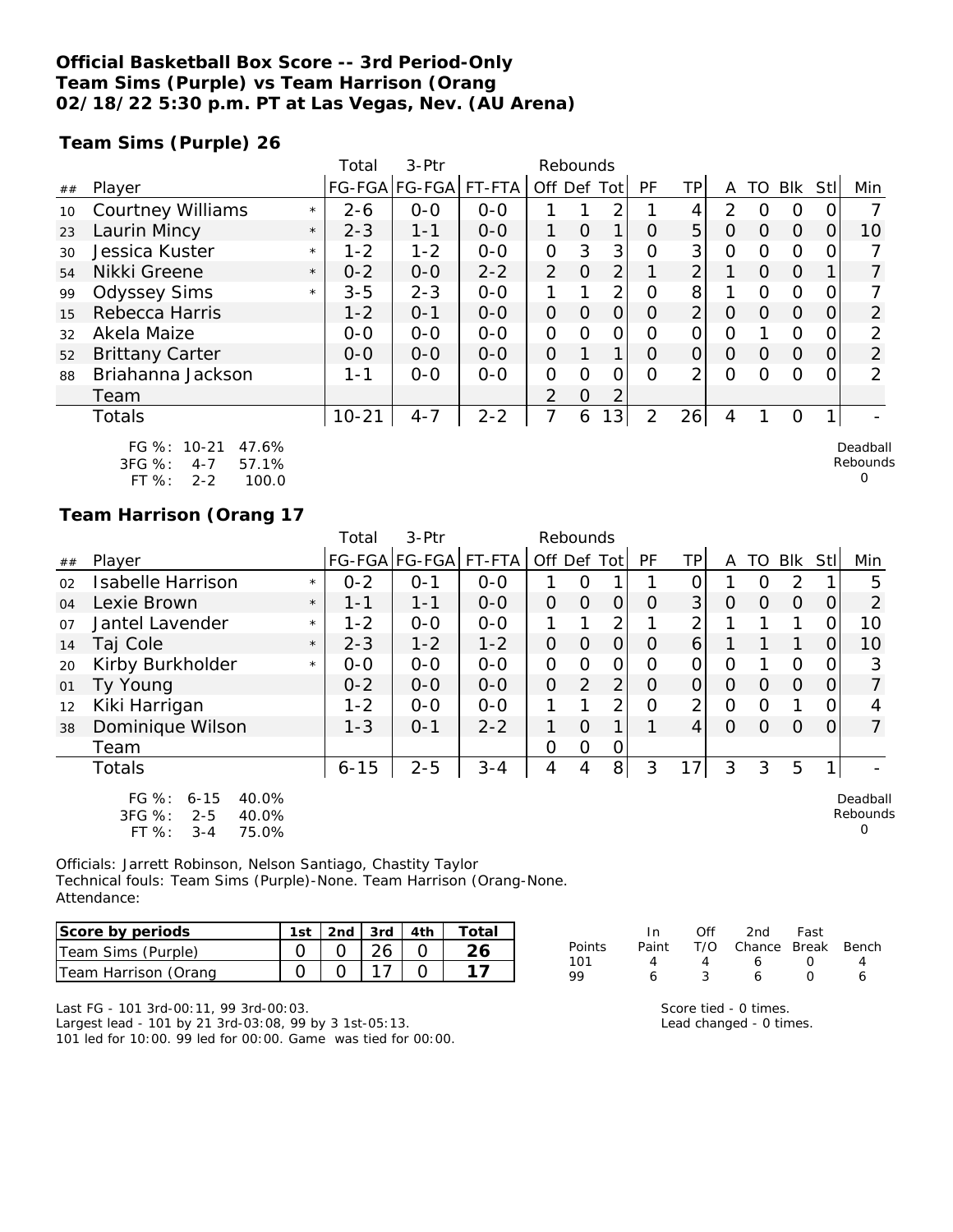### **Official Basketball Box Score -- 3rd Period-Only Team Sims (Purple) vs Team Harrison (Orang 02/18/22 5:30 p.m. PT at Las Vegas, Nev. (AU Arena)**

**Team Sims (Purple) 26**

|    |                                                                                     |         | Total     | 3-Ptr                 |         |               | Rebounds       |                |          |                |                |          |          |          |                           |
|----|-------------------------------------------------------------------------------------|---------|-----------|-----------------------|---------|---------------|----------------|----------------|----------|----------------|----------------|----------|----------|----------|---------------------------|
| ## | Player                                                                              |         |           | FG-FGA FG-FGA  FT-FTA |         | Off Def Tot   |                |                | PF       | ΤP             | A              | TO       | Blk      | Stll     | Min                       |
| 10 | <b>Courtney Williams</b>                                                            | $\star$ | $2 - 6$   | $0 - 0$               | $0 - 0$ |               |                | 2              |          | 4              | $\overline{2}$ | O        | 0        |          |                           |
| 23 | Laurin Mincy                                                                        | $\star$ | $2 - 3$   | $1 - 1$               | $0 - 0$ |               | $\Omega$       | 1 <sub>1</sub> | $\Omega$ | 5              | $\Omega$       | $\Omega$ | $\Omega$ | 0        | 10                        |
| 30 | Jessica Kuster                                                                      | $\star$ | $1 - 2$   | $1 - 2$               | $0 - 0$ | 0             | 3              | 3              | O        | 3              | 0              | $\Omega$ | $\Omega$ |          |                           |
| 54 | Nikki Greene                                                                        | $\star$ | $0 - 2$   | $0 - 0$               | $2 - 2$ | 2             | $\Omega$       | $\overline{2}$ |          | $\overline{2}$ |                | $\Omega$ | $\Omega$ |          | $\overline{7}$            |
| 99 | <b>Odyssey Sims</b>                                                                 | $\star$ | $3 - 5$   | $2 - 3$               | $0 - 0$ |               |                | 2 <sub>1</sub> | O        | 8              |                | 0        | $\Omega$ |          |                           |
| 15 | Rebecca Harris                                                                      |         | $1 - 2$   | $0 - 1$               | $0 - 0$ | $\mathcal{O}$ | 0              | $\Omega$       | $\Omega$ | $\overline{2}$ | $\Omega$       | $\Omega$ | $\Omega$ | $\Omega$ | 2                         |
| 32 | Akela Maize                                                                         |         | $0-0$     | $O-O$                 | $0-0$   | 0             | $\Omega$       | 0              | O        | $\overline{O}$ | $\Omega$       |          | $\Omega$ | O        | 2                         |
| 52 | <b>Brittany Carter</b>                                                              |         | $0 - 0$   | $0-0$                 | $0 - 0$ | $\mathcal{O}$ | $\mathbf 1$    | 1 <sub>1</sub> | 0        | O              | $\Omega$       | $\Omega$ | $\Omega$ | 0        | $\overline{2}$            |
| 88 | Briahanna Jackson                                                                   |         | $1 - 1$   | $0 - 0$               | $0-0$   | 0             | $\Omega$       | 0              | $\Omega$ | 2              | 0              | $\Omega$ | $\Omega$ |          | 2                         |
|    | Team                                                                                |         |           |                       |         | 2             | $\overline{0}$ | $\overline{2}$ |          |                |                |          |          |          |                           |
|    | <b>Totals</b>                                                                       |         | $10 - 21$ | $4 - 7$               | $2 - 2$ | 7             | 6              | 13             | 2        | 26             | 4              |          | 0        |          |                           |
|    | FG %: 10-21<br>47.6%<br>$3FG \%$ :<br>57.1%<br>$4 - 7$<br>FT %:<br>100.0<br>$2 - 2$ |         |           |                       |         |               |                |                |          |                |                |          |          |          | Deadball<br>Rebounds<br>0 |

### **Team Harrison (Orang 17**

|    |                                                                                           |         | Total    | 3-Ptr         |         | Rebounds       |                |                |          |                |                |          |          |            |                           |
|----|-------------------------------------------------------------------------------------------|---------|----------|---------------|---------|----------------|----------------|----------------|----------|----------------|----------------|----------|----------|------------|---------------------------|
| ## | Player                                                                                    |         |          | FG-FGA FG-FGA | FT-FTA  | Off Def Tot    |                |                | PF       | TP             | A              | TO       | Blk      | <b>Stl</b> | Min                       |
| 02 | <b>Isabelle Harrison</b>                                                                  | $\star$ | $0 - 2$  | $O - 1$       | $0 - 0$ |                | $\Omega$       |                |          | Ο              |                | Ω        | 2        |            | 5                         |
| 04 | Lexie Brown                                                                               | $\star$ | $1 - 1$  | $1 - 1$       | $O-O$   | $\overline{O}$ | $\Omega$       | 0              | 0        | 3              | $\Omega$       | $\Omega$ | $\Omega$ | O          | 2                         |
| 07 | Jantel Lavender                                                                           | $\star$ | $1 - 2$  | $0 - 0$       | $0-0$   |                |                | $\overline{2}$ |          | $\overline{2}$ |                |          |          | 0          | 10                        |
| 14 | Taj Cole                                                                                  | $\star$ | $2 - 3$  | $1 - 2$       | $1 - 2$ | $\overline{O}$ | $\Omega$       | $\overline{O}$ | $\Omega$ | 6              |                |          |          | 0          | 10                        |
| 20 | Kirby Burkholder                                                                          | $\star$ | $0 - 0$  | $0-0$         | $O-O$   | $\mathcal{O}$  | $\mathcal{O}$  | $\mathcal{O}$  | O        | 0              | 0              |          | $\Omega$ | 0          | 3                         |
| 01 | Ty Young                                                                                  |         | $0 - 2$  | $0-0$         | $0-0$   | $\overline{O}$ | 2              | $\overline{2}$ | O        | 0              | $\Omega$       | $\Omega$ | $\Omega$ | 0          | 7                         |
| 12 | Kiki Harrigan                                                                             |         | $1 - 2$  | $0-0$         | $O-O$   |                |                | $\overline{2}$ | 0        | $\overline{2}$ | $\overline{O}$ | O        |          | O.         | 4                         |
| 38 | Dominique Wilson                                                                          |         | $1 - 3$  | $O - 1$       | $2 - 2$ |                | $\Omega$       | $\mathbf{1}$   |          | 4              | $\Omega$       | O        | $\Omega$ | 0          | $\overline{7}$            |
|    | Team                                                                                      |         |          |               |         | O              | $\overline{O}$ | O              |          |                |                |          |          |            |                           |
|    | <b>Totals</b>                                                                             |         | $6 - 15$ | $2 - 5$       | $3 - 4$ | 4              | 4              | 8              | 3        | 17             | 3              | 3        | 5        |            |                           |
|    | $FG \%$ :<br>$6 - 15$<br>40.0%<br>3FG %:<br>40.0%<br>$2 - 5$<br>FT %:<br>75.0%<br>$3 - 4$ |         |          |               |         |                |                |                |          |                |                |          |          |            | Deadball<br>Rebounds<br>O |

Officials: Jarrett Robinson, Nelson Santiago, Chastity Taylor Technical fouls: Team Sims (Purple)-None. Team Harrison (Orang-None. Attendance:

| Score by periods     | 1st   2nd   3rd   4th $\vert$ |  | ์ Total |
|----------------------|-------------------------------|--|---------|
| Team Sims (Purple)   |                               |  |         |
| Team Harrison (Orang |                               |  |         |

|        | In.   | ∩ff | 2nd                    | Fast             |   |
|--------|-------|-----|------------------------|------------------|---|
| Points | Paint |     | T/O Chance Break Bench |                  |   |
| 101    | Δ     | Δ   | 6.                     | $\left( \right)$ | Δ |
| 99     | 6     |     | 6                      | $\left( \right)$ | А |
|        |       |     |                        |                  |   |

Last FG - 101 3rd-00:11, 99 3rd-00:03. Largest lead - 101 by 21 3rd-03:08, 99 by 3 1st-05:13. 101 led for 10:00. 99 led for 00:00. Game was tied for 00:00. Score tied - 0 times. Lead changed - 0 times.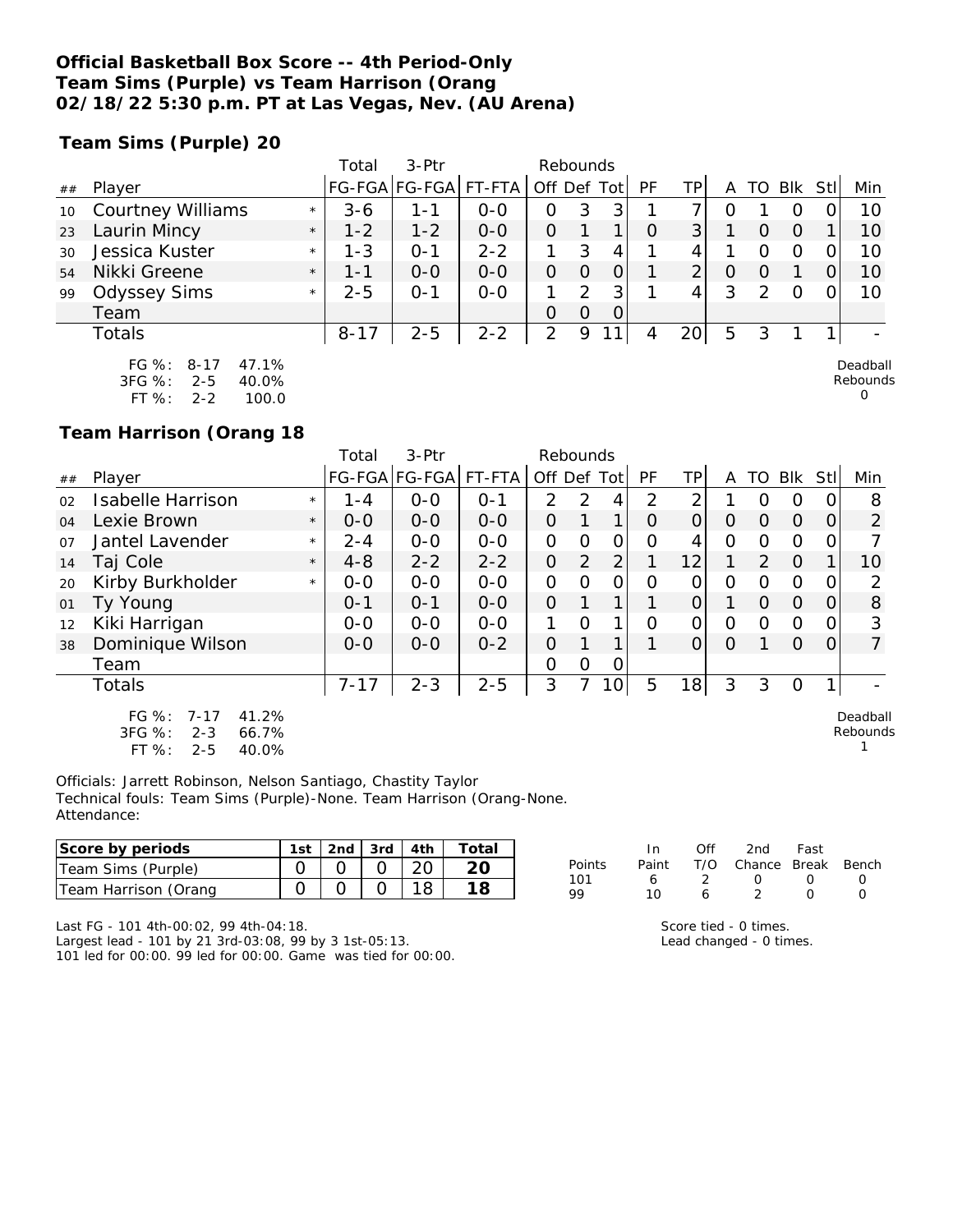### **Official Basketball Box Score -- 4th Period-Only Team Sims (Purple) vs Team Harrison (Orang 02/18/22 5:30 p.m. PT at Las Vegas, Nev. (AU Arena)**

**Team Sims (Purple) 20**

|    |                          |         | Total    | $3-$ Ptr      |         |             | Rebounds |                |    |      |   |    |     |      |                          |
|----|--------------------------|---------|----------|---------------|---------|-------------|----------|----------------|----|------|---|----|-----|------|--------------------------|
| ## | Player                   |         |          | FG-FGA FG-FGA | FT-FTA  | Off Def Tot |          |                | PF | ТP   | Α | TO | Blk | Stl. | Min                      |
| 10 | <b>Courtney Williams</b> | $\star$ | $3-6$    | 1 - 1         | $0 - 0$ | Ο           | 3        | 3              |    |      |   |    |     |      | 10                       |
| 23 | Laurin Mincy             | $\star$ | $1 - 2$  | $1 - 2$       | $0 - 0$ | Ο           |          |                | O  | 3    |   |    |     |      | 10                       |
| 30 | Jessica Kuster           | $\star$ | $1 - 3$  | 0-1           | $2 - 2$ |             | 3        | 4              |    |      |   |    |     |      | 10                       |
| 54 | Nikki Greene             | $\star$ | $1 - 1$  | $0 - 0$       | $0 - 0$ | O           | O        | Ο              |    |      | O |    |     |      | 10                       |
| 99 | <b>Odyssey Sims</b>      | $\star$ | $2 - 5$  | 0-1           | $0 - 0$ |             | 2        | 3              |    |      | 3 |    |     |      | 10                       |
|    | Team                     |         |          |               |         | 0           | $\Omega$ | $\overline{O}$ |    |      |   |    |     |      |                          |
|    | <b>Totals</b>            |         | $8 - 17$ | $2 - 5$       | $2 - 2$ | 2           | 9        |                | 4  | 20 l | 5 |    |     |      | $\overline{\phantom{0}}$ |
|    | FG %: 8-17<br>47.1%      |         |          |               |         |             |          |                |    |      |   |    |     |      | Deadball                 |

FG %: 8-17 47.1% 3FG %: 2-5 40.0% FT %: 2-2 100.0

Rebounds  $\Omega$ 

Rebounds 1

**Team Harrison (Orang 18**

|    |                          |         | Total    | $3-Ptr$       |         | Rebounds      |                |                 |                |                 |                |               |                |                |                |
|----|--------------------------|---------|----------|---------------|---------|---------------|----------------|-----------------|----------------|-----------------|----------------|---------------|----------------|----------------|----------------|
| ## | Player                   |         |          | FG-FGA FG-FGA | FT-FTA  | Off Def Tot   |                |                 | <b>PF</b>      | TP              | A              | TO            | <b>BIK</b>     | Stl            | Min            |
| 02 | <b>Isabelle Harrison</b> | $\star$ | $1 - 4$  | $O - O$       | $0 - 1$ | $\mathcal{P}$ | $\mathcal{P}$  | 4               | 2              | $\overline{2}$  |                | Ω             | O              | 0              | 8              |
| 04 | Lexie Brown              | $\star$ | $0 - 0$  | $0 - 0$       | $0 - 0$ | 0             |                | 1               | $\Omega$       | $\Omega$        | $\Omega$       | 0             | $\Omega$       | $\overline{O}$ | $\overline{2}$ |
| 07 | Jantel Lavender          | $\star$ | $2 - 4$  | $0 - 0$       | $O - O$ | O             | $\Omega$       | 0               | $\Omega$       | 4               | $\overline{O}$ | $\Omega$      | 0              | 0              |                |
| 14 | Taj Cole                 | $\star$ | $4 - 8$  | $2 - 2$       | $2 - 2$ | 0             | $\overline{2}$ | $\overline{2}$  |                | 12              |                | $\mathcal{P}$ | $\Omega$       | 1              | 10             |
| 20 | Kirby Burkholder         | $\star$ | $0 - 0$  | $0 - 0$       | $0 - 0$ | 0             | $\Omega$       | 0               | O              | 0               | O              | 0             | 0              | 0              | っ              |
| 01 | Ty Young                 |         | $O - 1$  | $0 - 1$       | $0 - 0$ | O             |                | 1               |                | 0               |                | $\Omega$      | $\Omega$       | 0              | 8              |
| 12 | Kiki Harrigan            |         | $0-0$    | $0 - 0$       | $0 - 0$ | 1             | O              | $\mathbf{1}$    | $\overline{O}$ | $\overline{O}$  | $\Omega$       | 0             | $\overline{O}$ | 0              | 3              |
| 38 | Dominique Wilson         |         | $0 - 0$  | $0 - 0$       | $0 - 2$ | O             |                |                 |                | $\Omega$        | $\circ$        |               | $\Omega$       | 0              | $\overline{7}$ |
|    | Team                     |         |          |               |         | O             | O              | $\mathbf{O}$    |                |                 |                |               |                |                |                |
|    | Totals                   |         | $7 - 17$ | $2 - 3$       | $2 - 5$ | 3             |                | 10 <sub>1</sub> | 5              | 18 <sub>1</sub> | 3              | 3             | 0              | 1              |                |
|    | FG %: 7-17<br>41.2%      |         |          |               |         |               |                |                 |                |                 |                |               |                |                | Deadball       |

FG %: 7-17 41.2% 3FG %: 2-3 66.7% FT %: 2-5 40.0%

Officials: Jarrett Robinson, Nelson Santiago, Chastity Taylor Technical fouls: Team Sims (Purple)-None. Team Harrison (Orang-None. Attendance:

| Score by periods     | ∣st | 2nd | 3rd | 4th    | ⊤otal |                       |       | Of  | 2nd    | Fast  |       |
|----------------------|-----|-----|-----|--------|-------|-----------------------|-------|-----|--------|-------|-------|
| Team Sims (Purple)   |     |     |     | $\cap$ |       | Points                | Paint | T/O | Chance | Break | Bench |
| Team Harrison (Orang |     |     |     | 18     | 1 O   | 10 <sup>-</sup><br>QQ | 10    |     |        |       |       |

Last FG - 101 4th-00:02, 99 4th-04:18.

Largest lead - 101 by 21 3rd-03:08, 99 by 3 1st-05:13. 101 led for 00:00. 99 led for 00:00. Game was tied for 00:00.

Score tied - 0 times. Lead changed - 0 times.